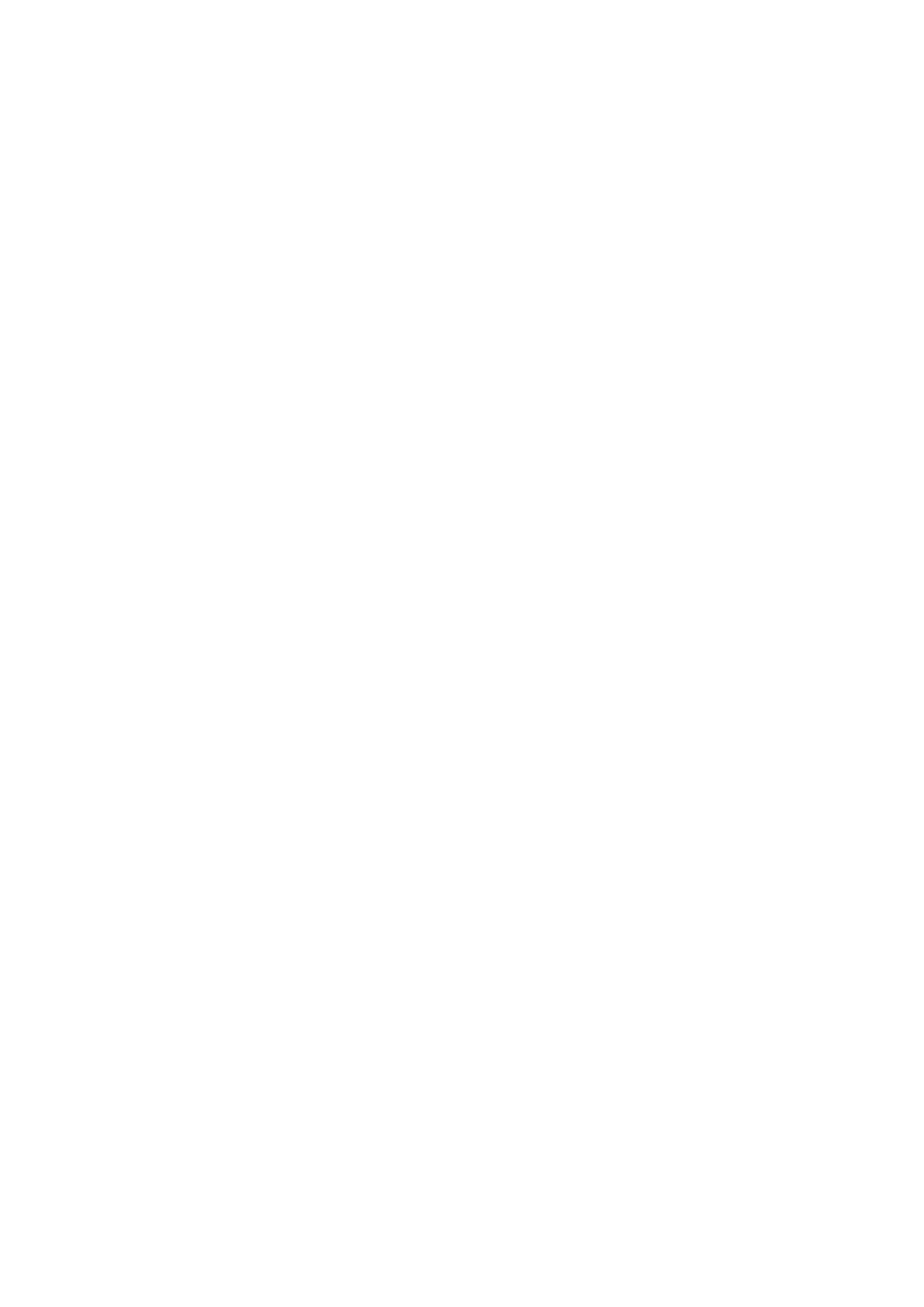# **UNIT 7 : GUPTA AGE: AGRARIAN EXPANSION, LAND GRANTS, GRADED LAND RIGHTS AND PEASANTRY**

#### **Structure**

- 7.0 Objectives
- 7.1 Introduction
- 7.2 Agrarian Expansion
- 7.3 Land Grants
- 7.4 Graded Land Rights
- 7.5 Position of the Peasantry
- 7.6 Let Us Sum Up
- 7.7 Answers to Check Your Progress Exercises

### **7.0 OBJECTIVES**

After studying this Unit you will be able to know about:

- the economic conditions under the Guptas in relation to agriculture,
- land grant system and land rights, and
- position of the peasantry

### **7.1 INTRODUCTION**

As we know in ancient period agricultural crops constituted the main resources which the society produced and that the major part of the revenue of the state also came from agriculture. This of course does not mean that agriculture was the only occupation of the people or that people lived only in villages. There were other occupations like commerce and production of crafts which had become specialized occupations and in which different social groups were engaged. This also means that, as in earlier periods, people lived in forests, in agrarian tracts, in towns and in cities, but certain changes had started taking place in the pattern of economic production and consequently in relations between different social groups. We shall highlight some of these changes in the course of this and the next section.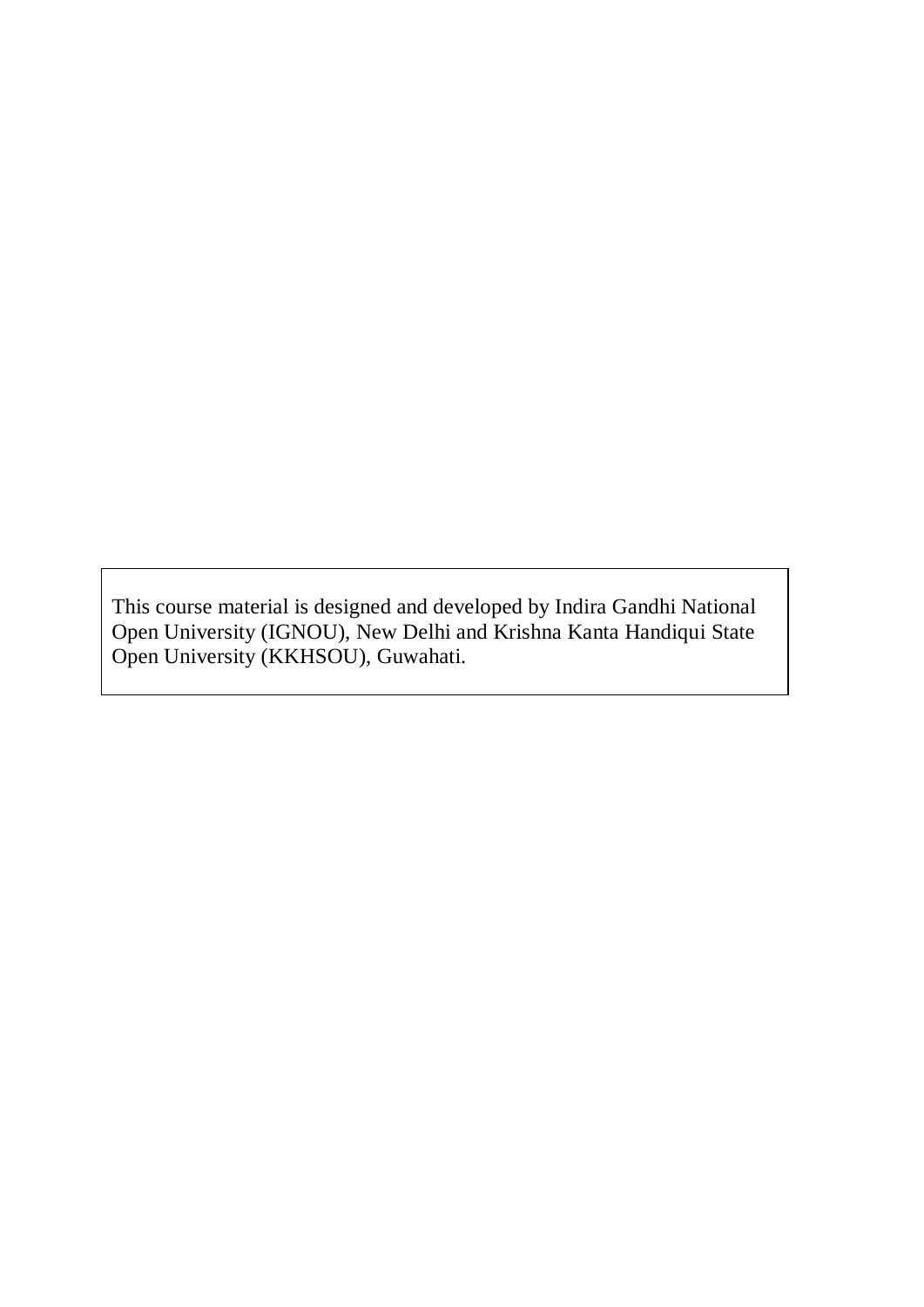### **7.2 AGRARIAN EXPANSION**

The agricultural crops constituted the main resources which the society produced and the major part of the revenue of the state came from the agriculture. It is argued by many scholars that the state was the exclusive owner of the land. The most decisive argument in favour of the exclusive state ownership of land is in the Paharpur copper plate inscription of Buddhagupta. It appears that though the land was to all intents and purposes that of the peasants, the king claimed its theoretical owner ship. Various types of land are mentioned in the inscriptions, land under cultivation was usually called *Kshetra***,** *Khila* was the uncultivable land, *Aprahata* was the jungle or forest land, *Gopata Sarah* was the pasture land and *Vasti* was the habitable land. Classification of land according to soil, fertility and the use to which it was put was not unknown. Different land measures were known in different regions, although one cannot be certain what exact measure was denoted by a term. In some areas *Nivartana* was the term used for a measure of land whereas in the inscriptions of Bengal terms like *Kulyavapa* and *Dronavapa* are used. It is not possible to classify the regions precisely according to the crops grown, but all the major categories of crops--cereals like barley, wheat and paddy, different varieties of pulses, grams and vegetables as well as cash crops like cotton and sugarcane were known long before the Gupta period and continued to be cultivated. Of course, one should not assume that crops like maize or vegetables like potatoes or tomatoes were known to the farmers of the Gupta period.

The concern of the society with agricultural production is also reflected in the importance given to irrigation. According to Narada, there are two kinds of dykes the *bardhya* which protected the field from floods and the *Khaya* which served the purpose of irrigation. The canals which were meant to prevent inundation were also mentioned by Amarasimha as *jalanirgamah*. The tanks were variously called, according to their sizes, as the *vapi*, *tadaga* and *dirghula*. The best example is the Sudarsana reservoir (Tadaga) in Saurashtra region of Gujarat. Originally built in the Maurya period, this reservoir was thoroughly repaired when it was extensively damaged in the time of Mahakshatrapa Rudradaman (middle of the second century CE). It was again severely damaged in the time of Skandagupta. Parnadatta, his newly appointed governor of Saurashtra and Parnadatta's son Chakrapalita, undertook the repair of the reservoir this time. Another method for irrigation was to draw water from wells and supply the water to the fields through carefully prepared channels. A mechanism. possibly known before the Gupta period, was to tie a number of pots to a chain, the chain with the pots reached down to the water of the hull, and by making the chain and the pots rotate, it was ensured that the pots would continuously fill with water and empty it. This mechanism was known as *ghatiyantra* as *ghati* was the name used for a pot. This type of mechanism also came to be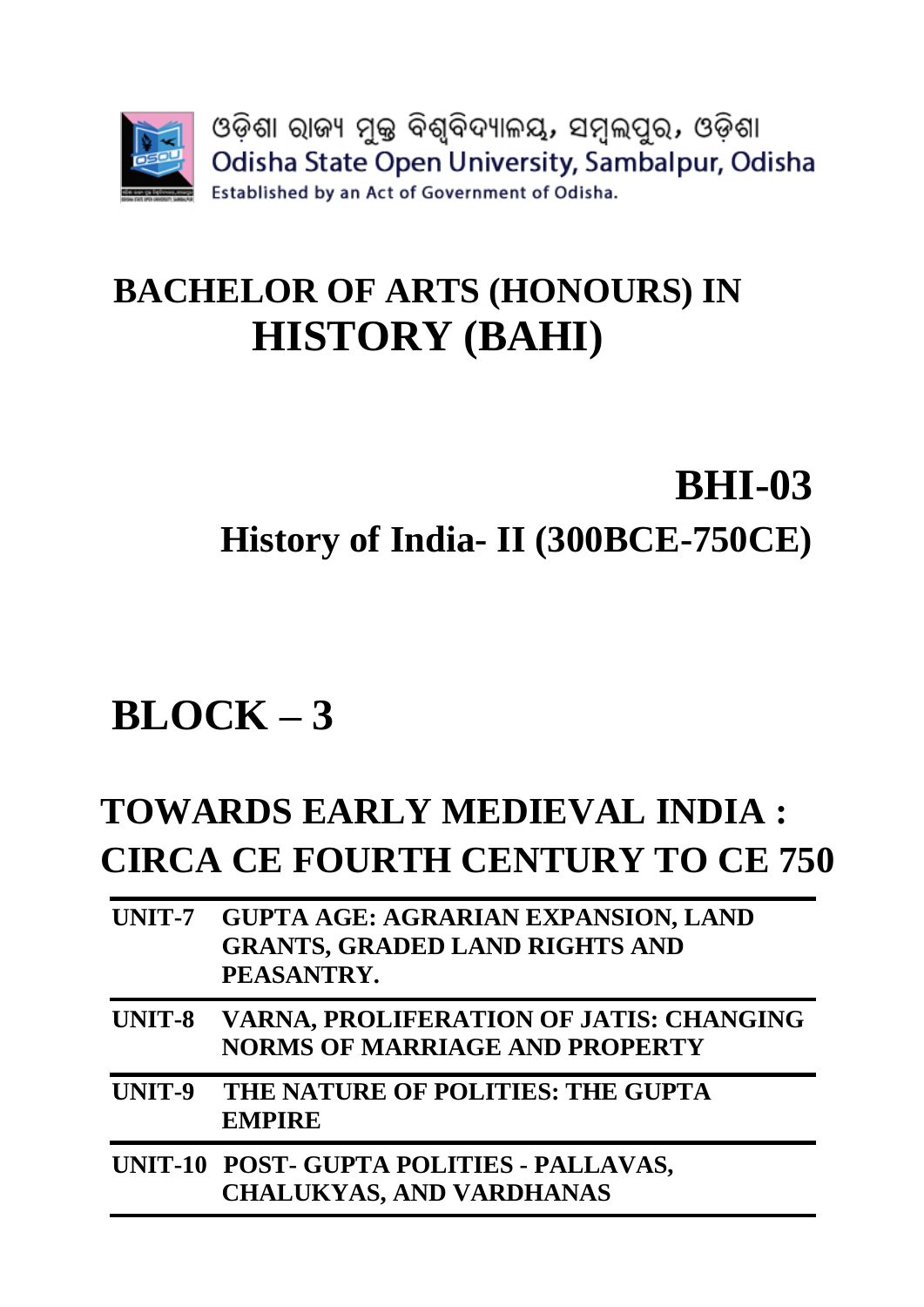known as *araghatta*. In the Harshacharita of Banabhatta which was of course written in the seventh century CE, there is a very charming description of how cultivated fields, producing crops like sugarcane, were being irrigated with the help of *ghatiyantra*. In regions like Bengal, rainwater was collected in ponds and other types of reservoirs, in peninsular India tank irrigation became gradually the norm. There were thus different systems of irrigation and the role of the state was only marginal in providing irrigation facilities to fanners. The farmers of course depended mainly on rainfall and the importance of rainfall is underlined not only in the Arthasastra of Kautilya but also in the texts written in the Gupta period.

The sources of the Gupta period suggest that certain important changes were taking place in the agrarian society. The inscriptions from Bengal refer to sale of land by district-level administration to individuals who bought them by paying cash and made gifts of purchased land to Brahmanas who were expected to perform Vedic sacrifices or to Buddhist or Jaina religious establishments. But land was not only purchased and gifted, the practice of gifting land to religious donees had become quite common by now. Even otherwise, remuneration for serving rulers in different capacities was received in the form of land by officials of different categories. Of course, all this was not absolutely new. But by now the number of ruling families had vastly increased and thus the number of persons who received land but did not cultivate themselves went on increasing. The virtues of giving land were highly praised and those who took away gifted land were threatened with many evil consequences. All this led to the appearance, in society, of a class of people who enjoyed superior rights over land and by virtue of these rights and by belonging to higher varnas had high economic and social status. Of course, land rights did not belong only to those who received land. The Gupta inscriptions refer to different types of village residents like *Gramikas*, *Kutumbis* and *Mahattaras* who must have been village landholders, and their participation in land transactions indicates that they too were important members of rural society.

Compared with the recipients of land from the rulers and the influential categories of landowners in villages, the condition of ordinary cultivators may be considered to have been rather bad. It is believed by some historians that because of the practice of land grants, the peasant population as a whole were reduced to a very low position in society. This is not entirely true. It was the ordinary cultivators, known by various terms such as *Krishibala*, *Karshaka* or *Kinass* who had low economic and social status. Among the actual cultivators there were those who filled the lands of others and received only a share of the produce. There were also slaves who worked on the fields of their masters. Even domestic female slaves were cruelly exploited, and a text like the *Kamasutra*, which was probably written in the Gupta period tells us how much hardship they had to go through at the hands of their masters.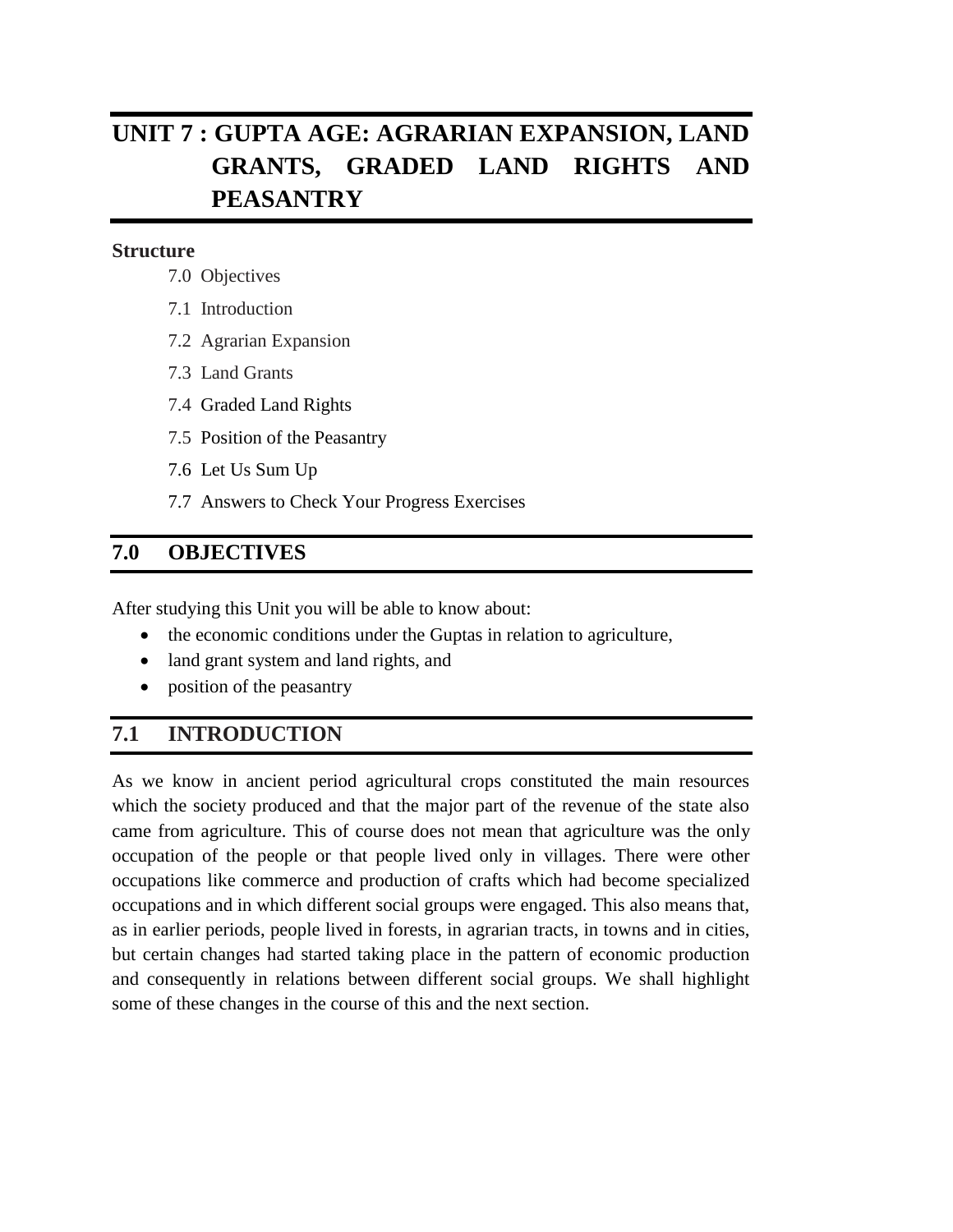There were other reasons why the condition of the ordinary cultivators declined considerably. One was that in many areas the appearance of small kingdoms of new rulers and their official and sections of people who did not take part in agriculture created great inequalities in society and imposed great burden on actual tillers of the soil. The number of taxes imposed by the state on the producers also increased in this period. Further, the practice of imposing vishti or unpaid labour was also in vogue, although we do not know for certain how much essential it was for agricultural production. All in all, the condition of the ordinary cultivators seems to have become worse than in the earlier periods.

### **7.3 LAND GRANTS**

The sources of the Gupta period suggest that certain important changes were taking place in the agrarian society. Feudal development surfaced under the Guptas with the grant of fiscal and administrative concessions to priests and administrators. Started in the Deccan by the Satavahanas, the practice became a regular affair in Gupta times. Religious functionaries were granted land, free of tax, forever, and they were authorised to collect from the peasants all the taxes which could have otherwise gone to the emperor.

Religious grants were of two types-*Agrahara* grants were meant for the Brahmanas which meant to be perpetual, hereditary and tax-free, accompanied with the assignment of all land revenue. The *Devagrahara* grants were made to secular parties such as writers and merchants, for the purpose of repair and worship of temples. The secular grants were made to secular parties and are evident from a grant made by the *Uccakalpa* dynasty.

According to it, two villages were bestowed as a mark of favour, in perpetuity with fiscal and administrative rights upon a person called Pulindabhatta. Epigraphic evidence of land grants made to officers for the administrative and military services is lacking, though such grants cannot be ruled out. In fact, certain designations of administrative officers such as *bhagika* and *bhogapalika* suggest that some of the state officials may have been remunerated by land grants.

### **7.4 GRADED LAND RIGHTS**

The debate regarding the ownership of land in ancient India has focused on assessing the evidence for communal/corporate ownership (*i.e.,* ownership in the hands of the village community), royal ownership, and private ownership. Although the *Dharmashastra* texts have a great deal to say about property, their opinions on land rights vary considerably, and contradictory statements are sometimes made within the same text. Certain texts suggest that the village community had an important say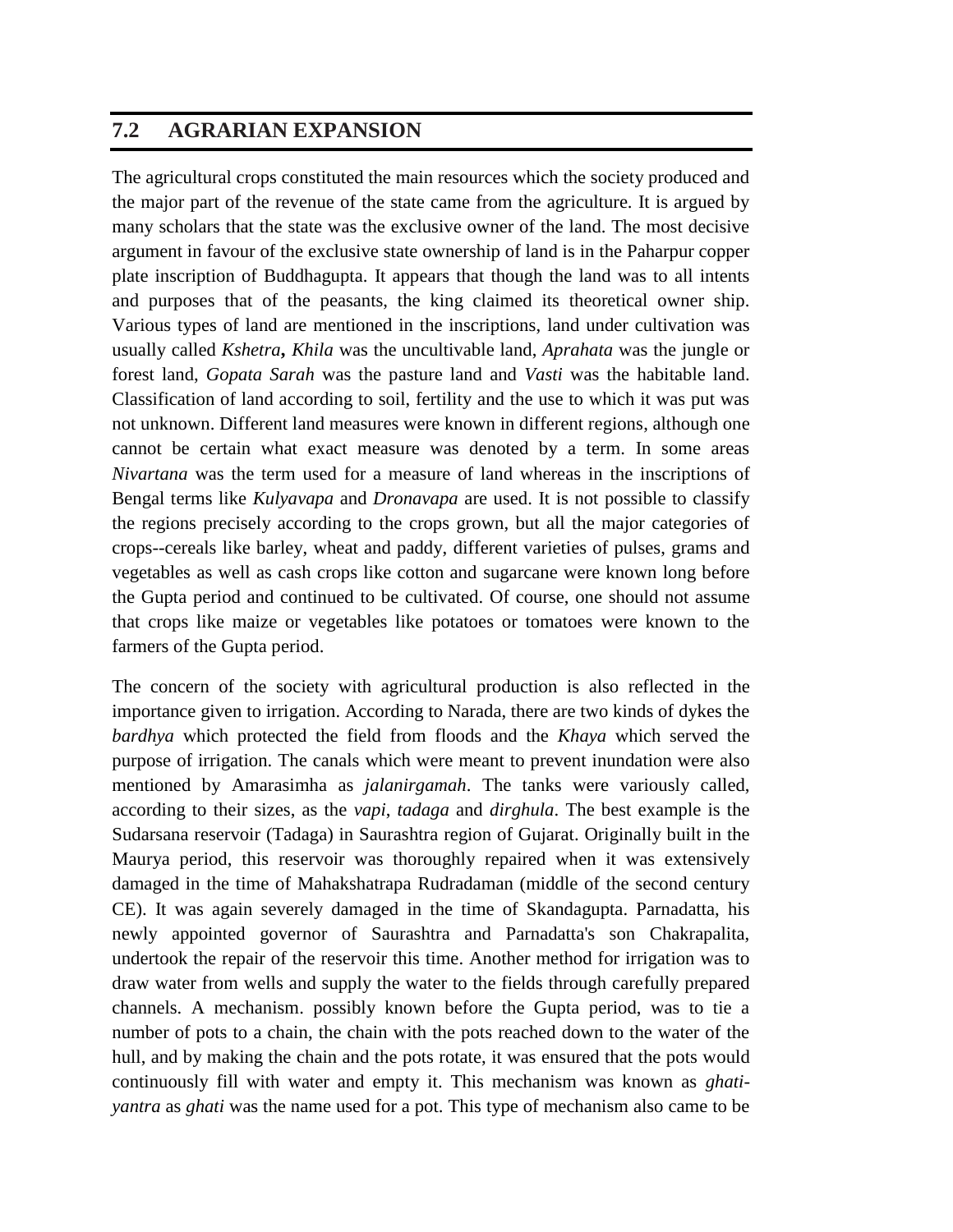in land-related matters, even if this did not amount to full-fledged ownership. For instance, the village community was assigned an important role in settling boundary disputes and the sale of land, and the king was supposed to inform it when he made a gift of land. According to the Vishnu *Smriti*, pasture land was community property and could not be partitioned. The village community seems to have exercised rights over water resources as well. A few earlier sources assert the indivisibility of landed property, *i.e.*, that it could not be divided. The institution of private property was well entrenched by c. 300–600 CE. The law books of this period discuss and distinguish between the issues of possession, ownership, and legal title to property in general and land in particular. Laws regarding the partition, sale, and mortgage of land are laid down. Literary references to various types of private land transactions are matched by those from inscriptions. Numerous inscriptions record the purchase of land by individuals for the purpose of donations to Brahmanas or religious institutions. How can all this evidence be reconciled? Epigraphic references suggesting corporate or communal ownership are very few and belong to an early period. And although the village community—or at least its dominant section—may have had a say in land-related matters, this did not amount to corporate or communal ownership. On the other hand, from c. 300 CE onwards, literary and epigraphic evidence can be marshalled to argue for both royal and private land ownership. While variations in textual statements can be understood as representing different schools of thought, a similar argument cannot be made with regard to the epigraphic evidence. The answer seems to be that from c. 300 CE onwards, the king was considered the lord of all the land, but not the 'owner' in the legal sense. Private property in land existed under the umbrella of a somewhat vague or largely theoretical notion of ultimate royal control, and the king's claims did not preclude the rights of private individuals.

#### **7.5 POSITION OF THE PEASANTRY**

The land grants paved the way for feudal development in India. Several inscriptions refer to the emergence of serfdom, which meant that the peasants were attached to their land even when it was given away. Thus in certain parts of the country the position of independent peasants were undermined, and they were reduced to serfs or semi-serfs. The repression of the peasantry was also caused by the right of subinfeudation granted to the recipients of land grants.

They were often authorised to enjoy the land, to get it enjoyed, to cultivate it or get it cultivated. The donated land could thus be assigned to tenants on certain terms. This also implied the donee's right to evict the tenants from their land. The practice of subinfeudation therefore reduced the permanent tenants to the position of ten-ants-atwill. The position of peasants was also undermined from the Gupta period onwards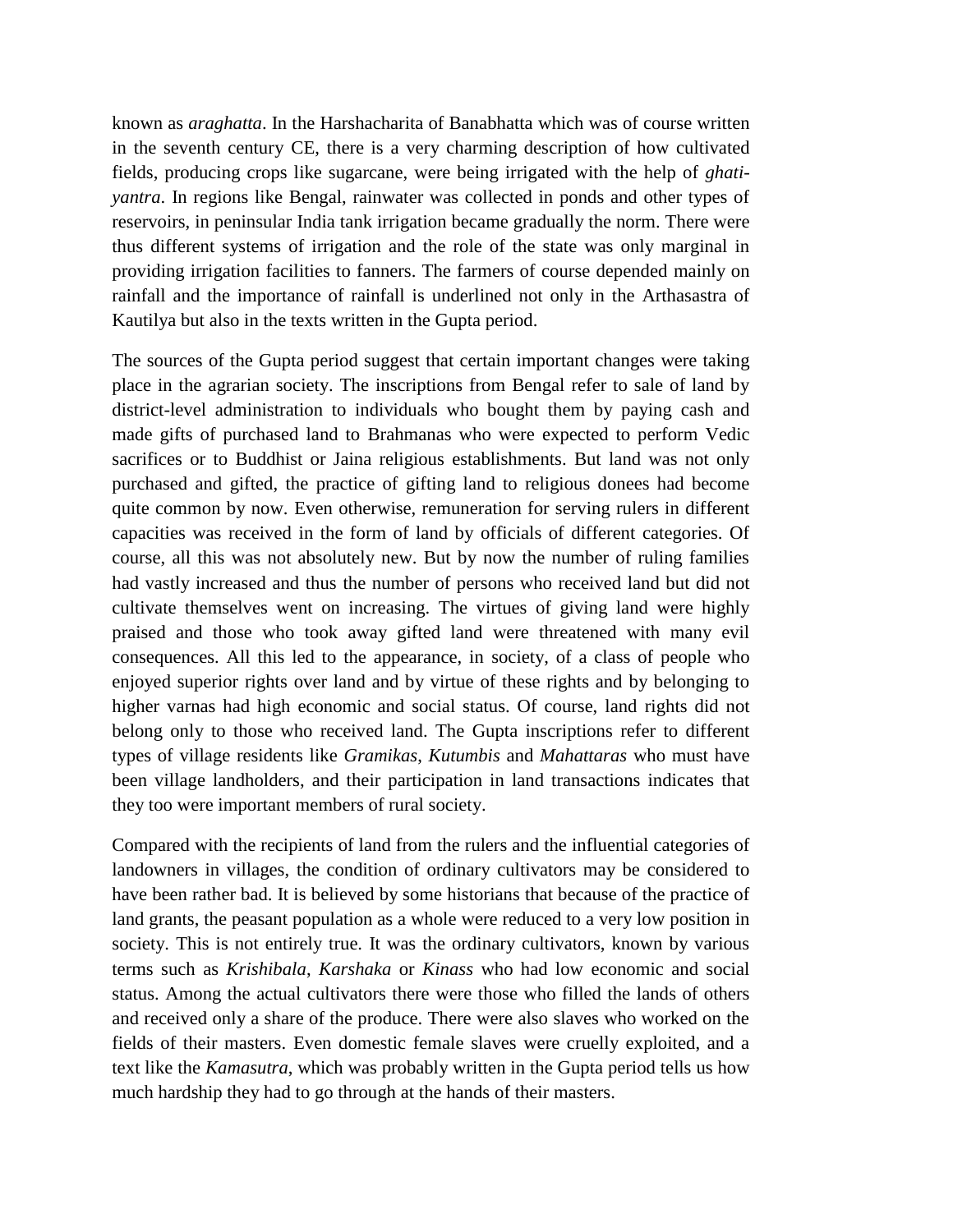on account of the imposition of forced labour (*Vishti*) and several new levies and taxes.

#### **Check Your Progress**

1) Fill in the blanks:

- 
- become/was not at all) common during the fifth-sixth Century CE.
- 
- d) Sudarsana lake was repaired during the time of ........................ (Skandagupta/Purugupta).
- 2) Mention the methods adopted for irrigation during this period in about ten lines.

3) Write a note in five lines on ownership of lands during Gupta period.

#### **LET US SUM UP** 7.6

There was considerable concern towards agricultural production and this is reflected from the way irrigation got priority during this period. The practice of gifting land to religious donees had become quite common and the Brahmanas exerted considerable influence over the King. There was differentiation amongst the cultivators and compared to the rich, the condition of ordinary cultivators declined considerably.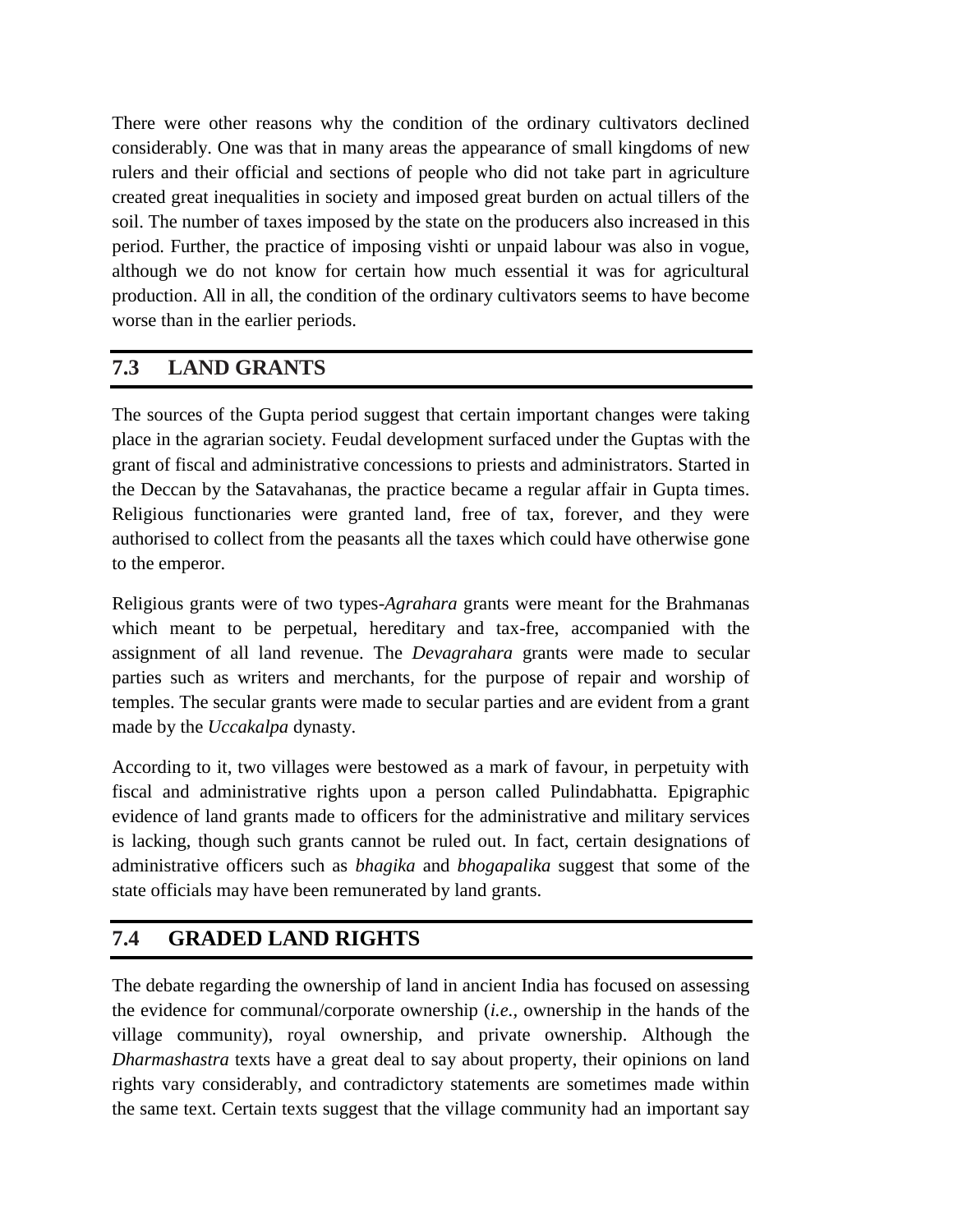## **7.7 ANSWERS TO CHECK YOUR PROGRESS EXERCISES**

- 1) (a) Kshetra (b) had become (c) suffered (d) Skandagupta.
- 2) See Sec. 7.2
- 3) See Sec. 7.4

### **SUGGESTED READINGS**

- Sharrna R.S., 1983. *Material Cultures and Social Formations in Ancient India*, New Delhi.
- Singh, U., 2009. *A History of Ancient and Early Medieval India – From the Stone Age to the 12th Century*, Delhi: Pearson.

Tripathi, R.S., 1942. *History of Ancient India,* Delhi: Motilal Banarsidas.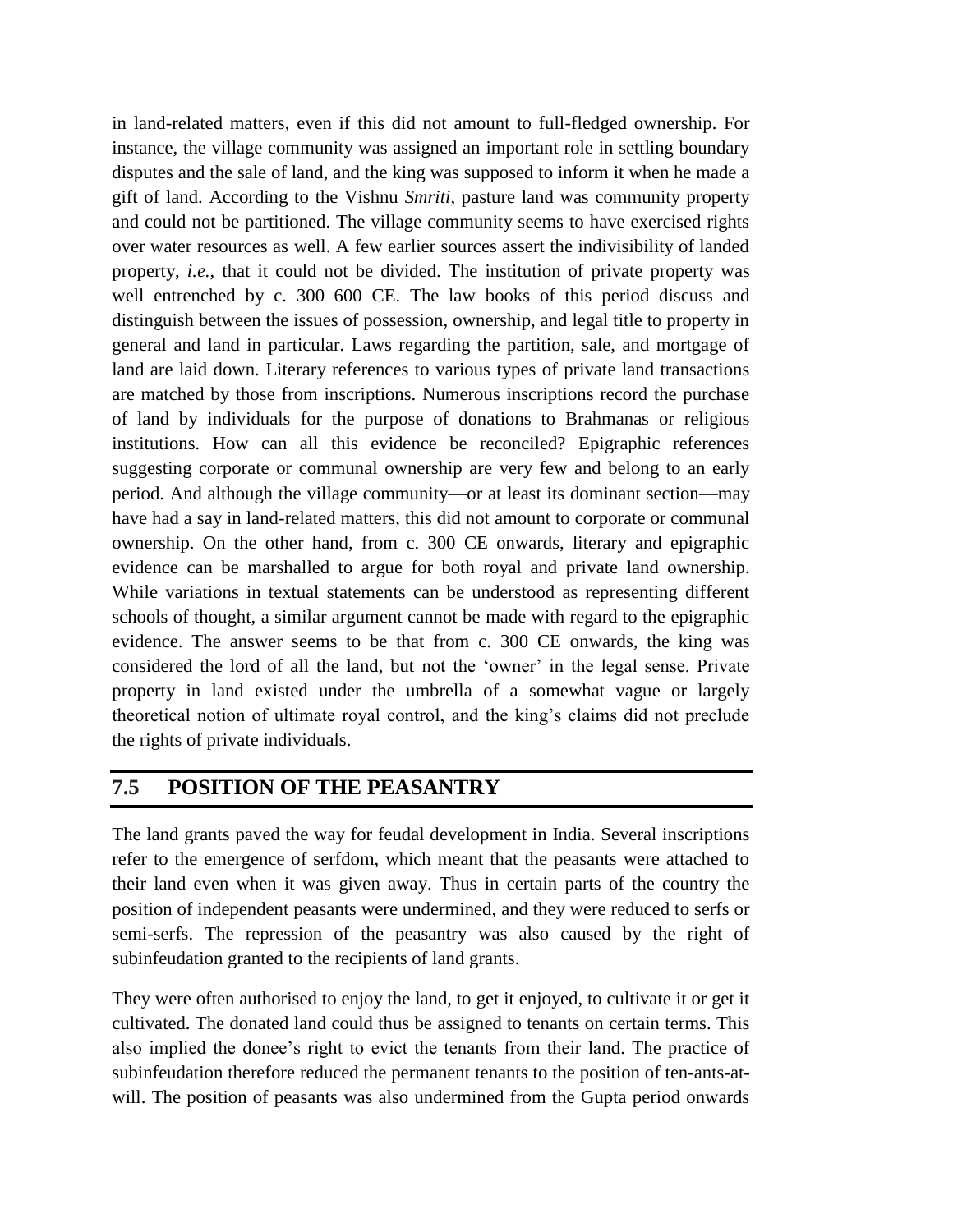# **UNIT 8 : VARNA, PROLIFERATION OF JATIS: CHANGING NORMS OF MARRIAGE AND PROPERTY**

#### **Structure**

- 8.0 Objectives
- 8.1 Introduction
- 8.2 Varna and Jati
- 8.3 Marriage System
- 8.4 Let Us Sum Up
- 8.5 Key Words
- 8.6 Answers To Check Your Progress Exercises

### **8.0 OBJECTIVES**

After reading this Unit you would be able to:

- know about Social stratification based on varna system during this period
- understand proliferation of different jatis, and
- position of women and marriage system of the society

### **8.1 INTRODUCTION**

The Gupta Empire will be incomplete without discussing the condition of the society during the Gupta period. The *Puranas*, *Sastras*, the *Niti Sastras* of Narada, the Dramas of Kalidasa, etc., supply us with a good deal of information regarding the social life of the Gupta period. Many interesting features about the social life are also found to be referred to in the contemporary inscriptions. Fa-hien, the famous Chinese pilgrim had also made some observations about the society as it existed in India towards the opening of the  $5<sup>th</sup>$  century CE.

### **8.2 VARNA AND JATI**

According to the scheme of society conceived by the Brahmanas, society was divided into four *Varna*s (Brahmana, Kshatriya, Vaisya and Sudra), with each *Varna* performing the set of functions prescribed for it and enjoying whatever rights were given to it. This was the ideal social order and the state was expected to preserve it. The Brahmanas came to exert considerable influence on the kings from the Gupta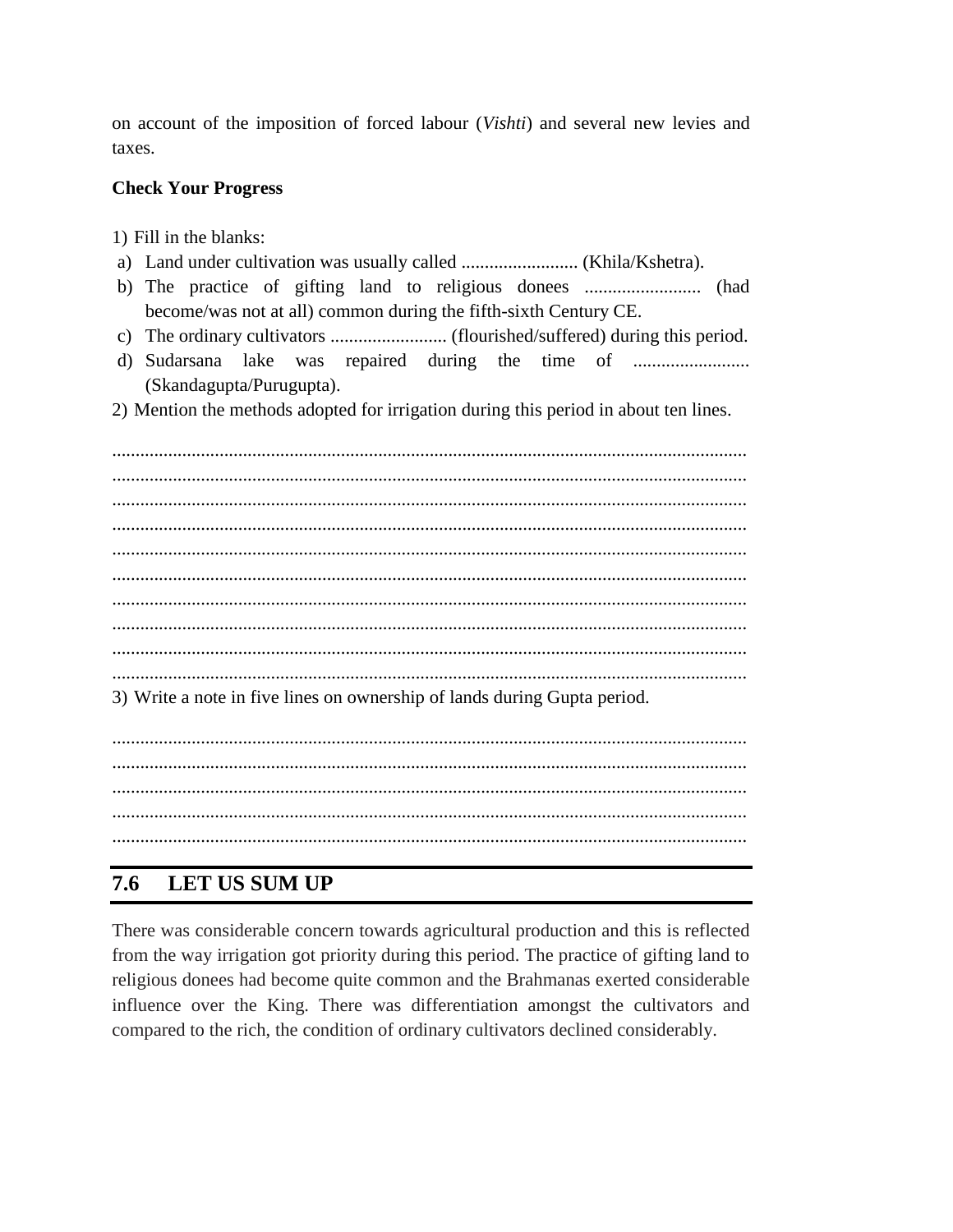period and this is quite clear from the way they received land from the kings and others. The kings, officials and others gave land not only to individual Brahmanas but also sometimes incited big groups of Brahmanas to come and settle in remote areas. Thus, the number of Brahmana settlements variously called *Brahmadiyas*, *Agraharas* and so on started increasing and they started spreading, among other things, the idea of a *Varna*-divided social order.

The conventional historiography projected continuation of the four-fold division of the *Varna*-System (*Chatuh*-*Varna*) in the Gupta and post-Gupta period. However, R.C. Hazra mentions that early *Puranas* offer descriptions of *Kaliyuga* in terms of foreign invasions, instability, social tension, struggle, teaching of hedonistic sects. But modern historians like R. S. Sharma ascribes the origin of Kaliyuga to mixing of castes (*Varna Shankara*) and the rise of *Shudras* on the beginning of the 4<sup>th</sup> century CE. Hence, it was a period of social crises. It was an age of enmity between Brahmans and Shudras, Vaishyas refusing to perform *yojnas* on tax burdened subject population law and order problem, thefts, unsecured family and property, increasing materialism and decreasing religions rituals, sovereignty of *mlechha* (low-caste) kings. The inscriptions of the Vakatakas of Viderbha and Pallavas of Kanchipuram are quoted to show that they acted together against Kaliyuga. Brahmanisation of villages under the Vakatakas and Pallavas are supposed to indicate social disorder. It is assumed that the rulers set to order Kaliyuga from the  $4<sup>th</sup>$  century onwards. The rise of the Vakatakas, Pallavas, Gangas and Kadambas are supposed to indicate brahmanical reactions against the Shudrasas these dynasties originated from Brahmana families.

From the latter half of the Gupta period and particularly the Vakatakas and Pallavas enforced strict rules according to *Varna*order to deal with Kaliyuga. One of the chief mechanisms of continuing Kaliyuga was land grants. The Guptas and their contemporaries began to grant land to religious donees, Brahmanas and templepriests, and later to secular donees, ministers, civil and army officers and even merchants. Thus, began the age of landed-intermediaries intervening between states and peasants. Land grants gang rise to a graded rural society and ranking status and ranks which did not fit into *Varna* order-*Mahamandalika*, *Mandalika*, *Mandaleshwara*, *Mahasamanta* etc., as mentioned in *Aparajitaprachha* (a book of architecture) but a receipt which clearly indicate that the concept of Kaliyuga was popularized by Brahmanas must be viewed in the context of state formation process. Rural society had to be initiated in the norms of state society in regions where local state formation was taking place for the first time. Taxes and resources had to be mobilized for the first time from a rural population which was getting families with state and its administration and military institutions. The fear of Kaliyuga forced communities to conform to social and political order in regions, which were going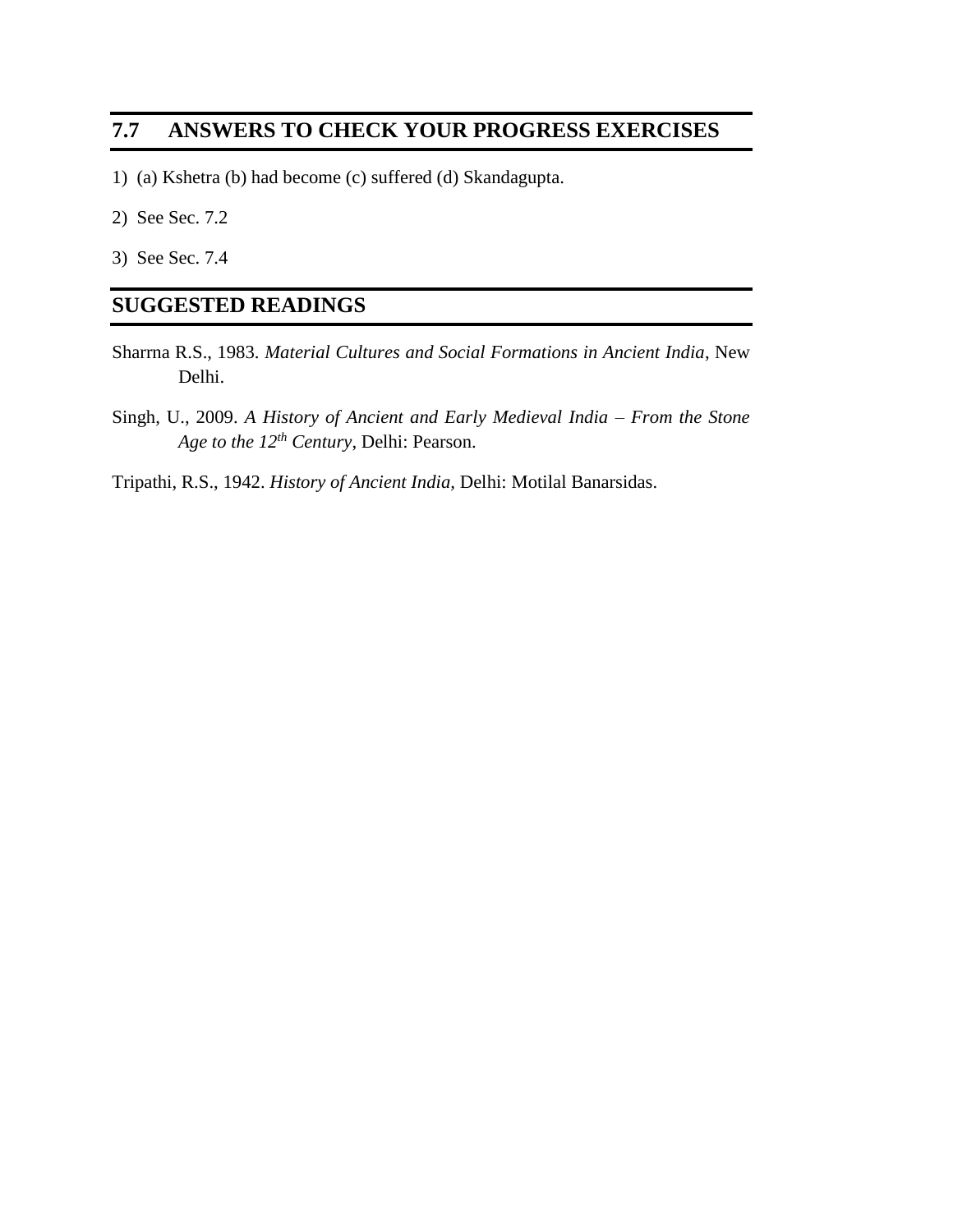through processes of state formation for the first time. Secondly a detailed study of epigraphical records reveals that land grants did not introduced a graded society for the first time. B.D. Chattopadhyaya and Nandini Sinha Kapur in their case studies have demonstrated a hierarchical rural society in Bengal, Karnataka, Rajasthan and Gujarat in which Brahamana and non-Brahamana landlords, peasants, artisans and landless labourers constituted rural society before the beginnings of the practice of land grants. One of the most important social developments in this period was proliferation of castes or *jatis*. Many castes originated with incorporation of economic specialists, tribes and immigrants from central Asia into the Brahmanical *Varna* Society.

### **8.3 MARRIAGE SYSTEM**

In *Abhijnanasakuntalam*, the admonition addressed to the king by the sage Kanva's disciple, we have echoes of rules in *Smritis* deprecating long residence of the wife with her paternal relatives and admitting the husband's complete authority over her. Kanva's own summary of the duties of a wife, addressed to *Sakuntala* on the eve of her departure for her husband's place, is based on the rules laid in earlier *Smritis* and *Kamasutra*. In the character *Dhuta*, wife of the hero in the *Mrichchakatika* we have a typical instance of the good wife described in *Smritis*. The belief in the extraordinary powers of the devoted wife (*pativrata*), which is expressed in the Mahabharata and other works, is reflected in a story of the *Dasa-Kumar-Charita*. The attitude of highborn ladies is illustrated in another story of the same work, where a woman, repudiated by her husband, declares it to be a living death for women of high birth to he hated by their husbands, for the husband alone is the deity of such women. Still another story shows how the qualities of economic housekeeping and absolute devotion to the husband were highly prized among wives. Following is a description of an ideal wife based on various *Smritis* and *Kamasutra*.

Vatsyayana draws a picture of the good wife and may be taken as to be a faithful reflection of real life. The picture exhibits those qualities of service and self-restraint as well as sound household management, which have remained the hallmark of Hindu, wives down to the present day. The wife is supposed to devote herself to her husband as though to a deity. She should personally look after the comforts of her husband. She shares her husband's fasts and vows, not brooking into refusal. She attends festivities, social gatherings, sacrifices, and religious processions, only with his permission. She engages sports approved by him. She avoids company of disreputable women, shows him no signs of displeasure, and does not loiter about at the doorstep, or in solitary places for a long time. She is not puffed up with prosperity, and she does not give charity to anyone without informing her husband. She honours her husband's friends, as is their due, with gifts of garlands, unguents,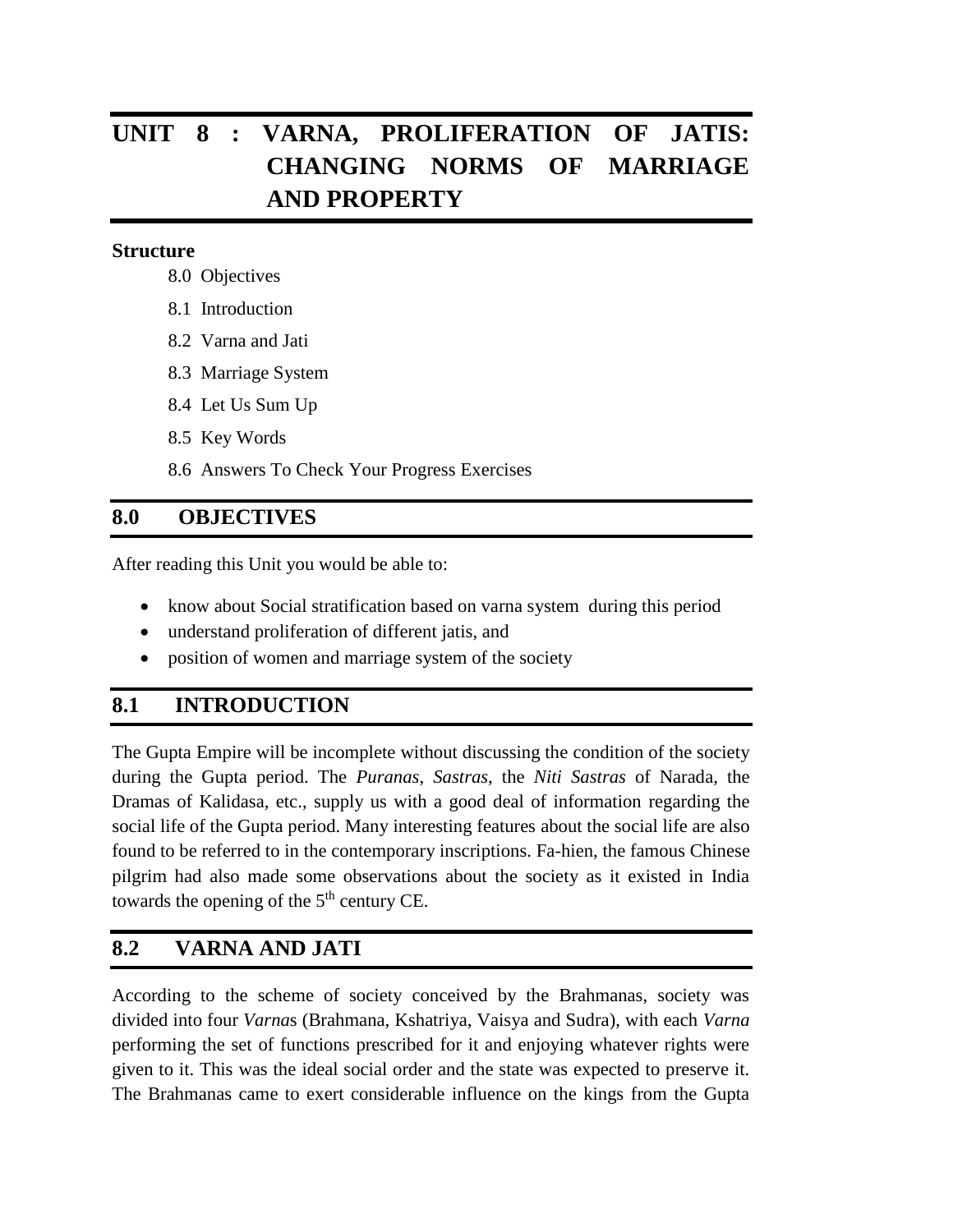and toilet. She serves her father-in-law and mother-in-law and abides by their commands. When in their presence, she makes no replies, speaks few but sweet words, and does not laugh aloud. She engages servants in their proper work and honours them on festive occasions. Above all, when her husband is gone abroad she lives a life of ascetic restraint: she gives up wearing all ornaments excepting the marks of her married state: she engages in religious rites and fasts: she acts as bidden by her superiors: she does not go out to visit her relations except on occasions of calamities or festivities: when she visits them, she does so only for a short while and in the company of her husband's people. When her husband returns home, she goes forth immediately to meet him in her sober dress, and then she worships the gods and makes gifts.

Apart from attending to her husband and his parents, relations, as well as his friends, the wife has complete and comprehensive charge of the household. She keeps the household absolutely clean, adorns it with festoons of flowers, and polishes the floor completely smooth. She looks after the worship of the gods at the household shrine and the offering of *bali* oblations three times a day. In the garden attached to the house she plants beds of various vegetables, herbs, plants, and trees. She keeps a store of various provisions in the house. She knows how to spin and weave, how to look after agriculture, cattle-breeding, and draught animals, how to take care of her husband's domestic pets and so forth. She frames an annual budget and makes her expenses accordingly. She keeps daily accounts and makes up the total at the end of the day. During her husband's absence she exerts herself in order that his affairs may not suffer. She increases the income and diminishes the expenditure to the best of her power. In case the woman has a co-wife she looks upon the later as a younger sister when she is older in age, and as a mother when she herself is younger.

The rule of life for the virtuous wife sketched above from the *Smritis* and the *Kamasutra* appears to have been generally followed in the Gupta Age. Again, according to Katyayana and Veda-Vyasa, the wife is to be associated with the husband in the performance of his religious acts, but all acts done by her to secure her spiritual benefit without his consent are useless. On the other hand, husband must maintain his wife. Some of the texts even prescribe penance for a husband for deserting a faultless wife.

Interestingly, we mark a striking similarity in Buddhist and Hindu sources on the interpersonal relationship in a conjugal life. The woman was mostly responsible for the household management and subservient to her husband. Unlike the Vedic period, women no longer enjoy equality with their husbands. They are also marginalised in other spheres of public life. The basic framework of the social structure thus can be inferred to be patriarchal, though there are rare instances of royal women acting as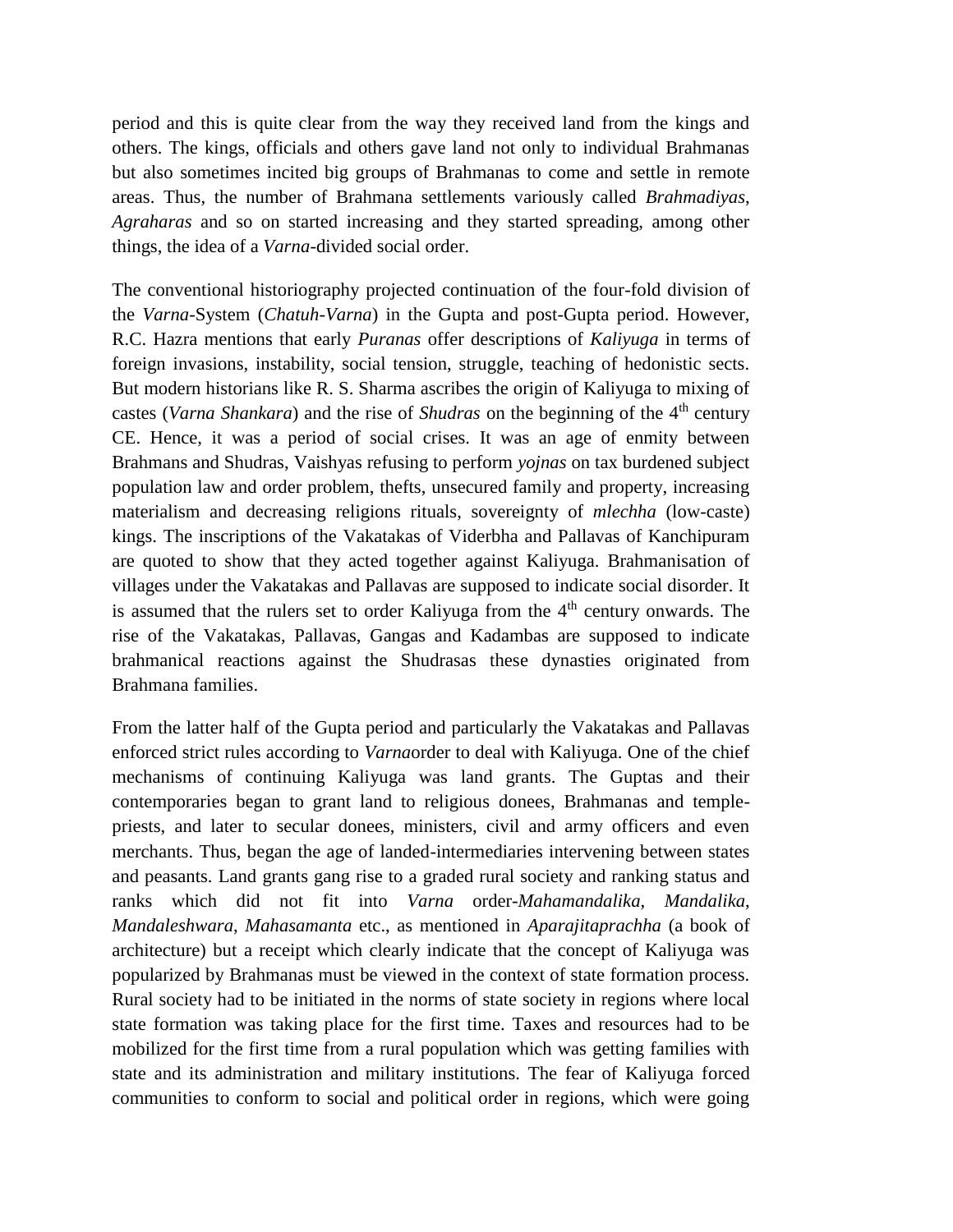sovereigns. In Orissa, several queens of Bhaumaka dynasty occupied the throne in the absence of male heirs. Hence, it is hard to generalise for the whole subcontinent.

#### **Check Your Progress**

1) Write a note in ten lines about the Varna and Jati system in the early medieval India.

………………………………………………………………………………………… ………………………………………………………………………………………… ………………………………………………………………………………………… ………………………………………………………………………………………… ………………………………………………………………………………………… ………………………………………………………………………………………… ………………………………………………………………………………………… ………………………………………………………………………………………… ………………………………………………………………………………………… …………………………………………………………………………………………

2) Discuss the literary source which are helpful to understand Marriage system in the early medieval India. Answer in five line

………………………………………………………………………………………… ………………………………………………………………………………………… ………………………………………………………………………………………… …………………………………………………………………………………………

### **8.4 LET US SUM UP**

In this unit, we saw the different aspects of social life *i.e.* division of society, discrimination based on *varna* and *jati*, and different patterns of marriages available to the society.

### **8.5 KEY WORDS**

**Marginalised:** treat (a person, group, or concept) as insignificant or peripheral. **Mlechha**: referring to barbarous peoples in ancient India, as contradistinguished from Aryas **Donees:** a person who receives a gift.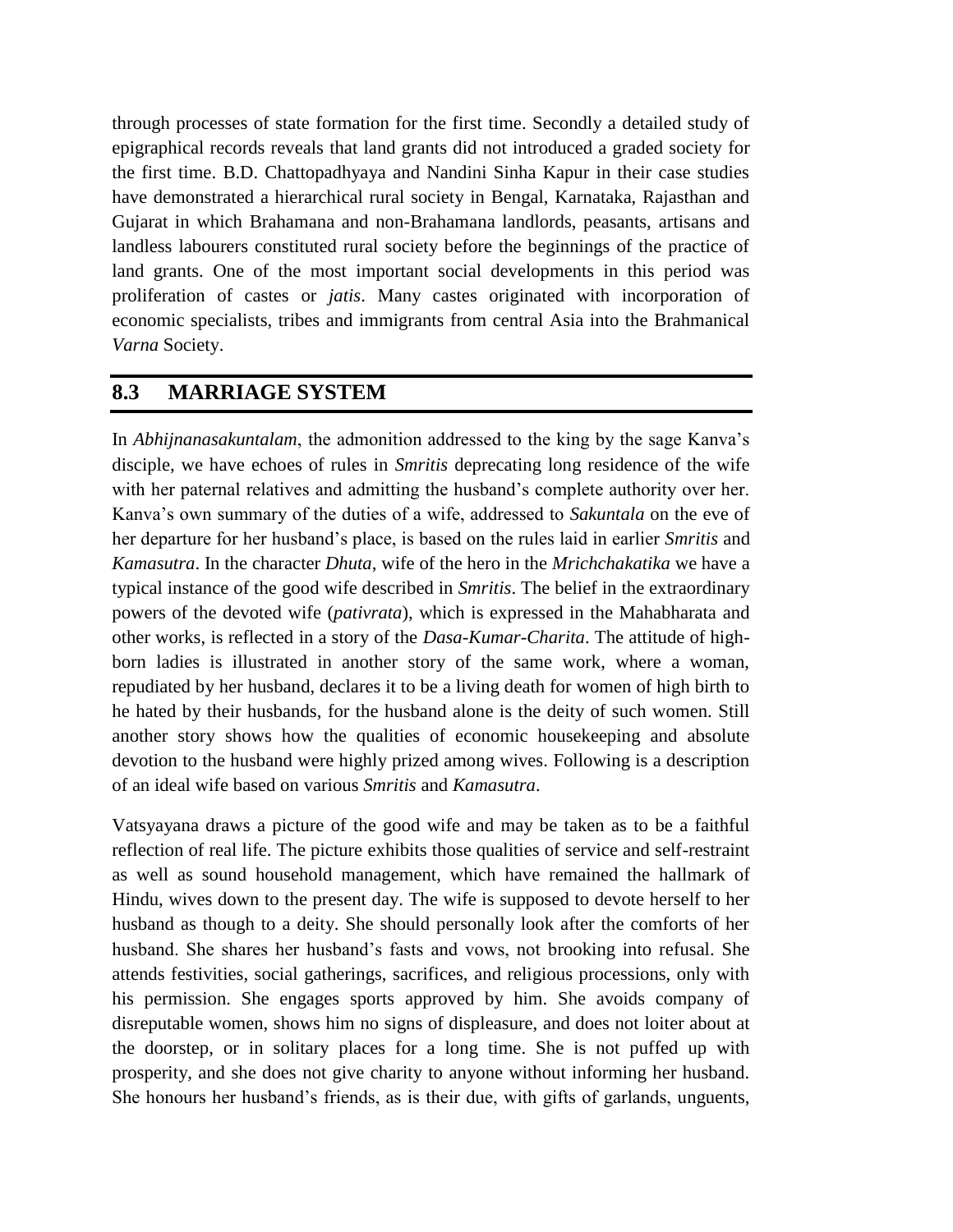### **8.6 ANSWERS TO CHECK YOUR PROGRESS EXERCISES**

- 1) See sec. 8.2
- 2) See sec. 8.3

### **SUGGESTED READINGS**

- Sharrna R.S., 1983. *Material Cultures and Social Formations in Ancient India*, New Delhi.
- Singh, U., 2009. *A History of Ancient and Early Medieval India – From the Stone Age to the 12th Century*, Delhi: Pearson.
- Tripathi, R.S., 1942. *History of Ancient India,* Delhi: Motilal Banarsidas.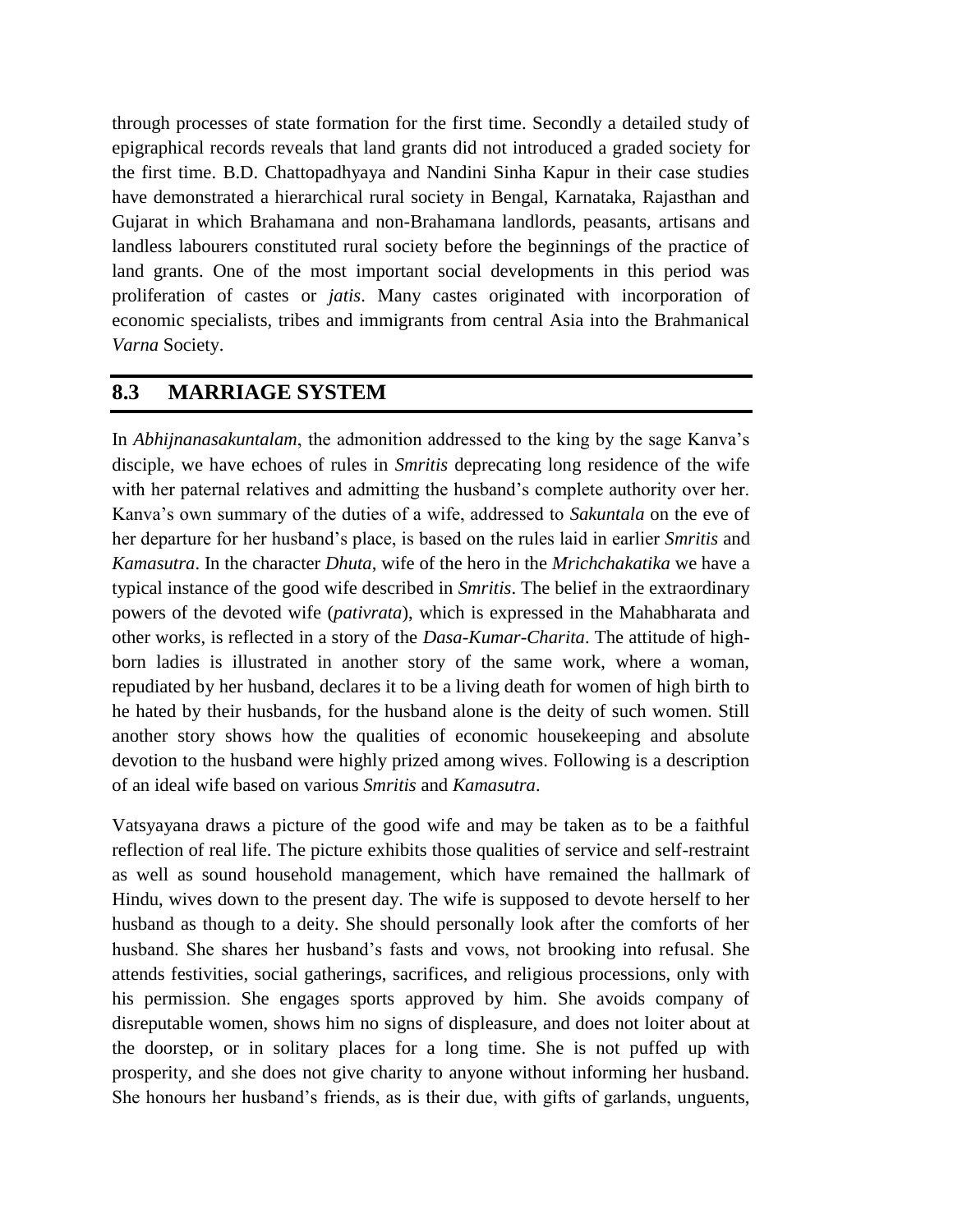## **UNIT 9 : THE NATURE OF POLITIES: THE GUPTA EMPIRE**

#### **Structure**

- 9.0 Objectives
- 9.1 Introduction
- 9.2 The Rise of the Guptas
	- 9.2.1 Samudragupta
		- 9.2.2.1 Expansion and Consolidation
	- 9.2.2 Chandragupta-II
	- 9.2.3 Kumaragupta-I
	- 9.2.4 Skandagupta
	- 9.2.5 Disintegration of the Gupta Empire
		- 9.2.5.1 Huna Invasions
		- 9.2.5.2 Administrative Weaknesses
- 9.3 Polity and Administration under the Guptas
	- 9.3.1 King
	- 9.3.2 Council of Ministers and Other Officials
	- 9.3.3 Army
	- 9.3.4 Revenue Administration
	- 9.3.5 Judicial Administration
	- 9.3.6 Provinces, Districts and Villages
- 9.4 Let Us Sum Up
- 9.4 Key Words
- 9.5 Answers To Check Your Progress Exercises

### **9.0 OBJECTIVES**

After reading this Unit you will be able to know about

- the circumstances that led to the rise of Gupta power,
- the expansion and consolidation of the Gupta empire.
- the order of succession of the Gupta rulers and their military exploits, and
- the polity and administrative set-up during Gupta period.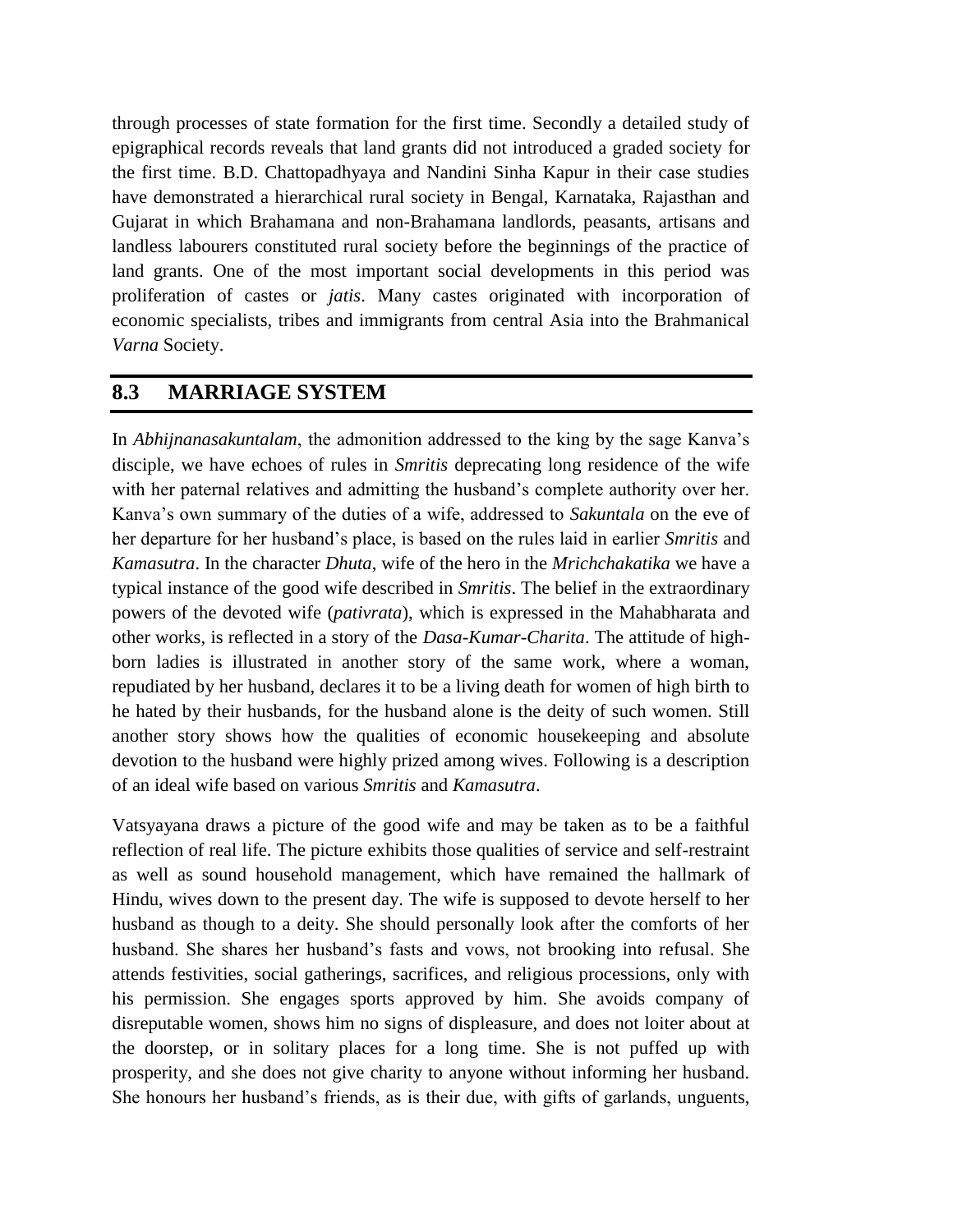## **9.1 INTRODUCTION**

In this Unit, we will analyse the historical situation which led to the rise of the Gupta dynasty. We take into account the controversies relating to the succession of Gupta kings and at the same time discuss some of their achievements which made possible the formation and consolidation of the empire. The Unit also takes into account the polities and administration prevailed during Gupta time.

### **9.2 THE RISE OF THE GUPTAS**

The ancestry and early history of the Gupta family are little known, and have naturally given rise to various speculations. Names ending in Gupta, such as Sivagupta which occurs in a Satavahana inscription, are sometimes taken to suggest their ancestry. But these suggestions are rather far-fetched. Different scholars also place the original home of the Guptas differently- Some would place it in north Bengal, some in Magadha in Bihar and some in Uttar Pradesh on the basis of the following arguments it may, at the moment, be suggested that the original core of the Gupta territory lay in eastern parts of Uttar Pradesh;

- Allahabad pillar inscription, the earliest inscription recording the achievements of an early Gupta ruler, Samudragupta, comes from this region.
- The nature of the coin-hoards of the Guptas, found in this region, suggests this, and
- The description of early Gupta territories in the Puranas may point to this.

It is possible that in the closing decades of the  $3<sup>rd</sup>$  century CE the Guptas were subordinates of a branch of the later Kushanas ruling in north-western India. However, literary and archaeological sources indicate that they became independent in the second decade of the fourth century CE.

Inscriptions tell us that Srigupta was the first king and Ghatotkacha was the next to follow him. Chandragupta-I was the first independent king with the title *Maharajadhiraja*. After declaring his independence in Magadha, he with the help of a matrimonial alliance with the Lichchhavis, enlarged his kingdom. We know about this alliance from a special category of coins. These coins have Chandragupta and his queen Kumaradevi engraved on the obverse and a seated goddess on the reverse with a legend *Lichchhavayah* (*i.e.* the *Lichchhavis*). These coins were made of gold, and this fact in addition to the fact that the Guptas followed the weight system of Kushana gold coins suggests that the Guptas had been in contact with the Kushana territories.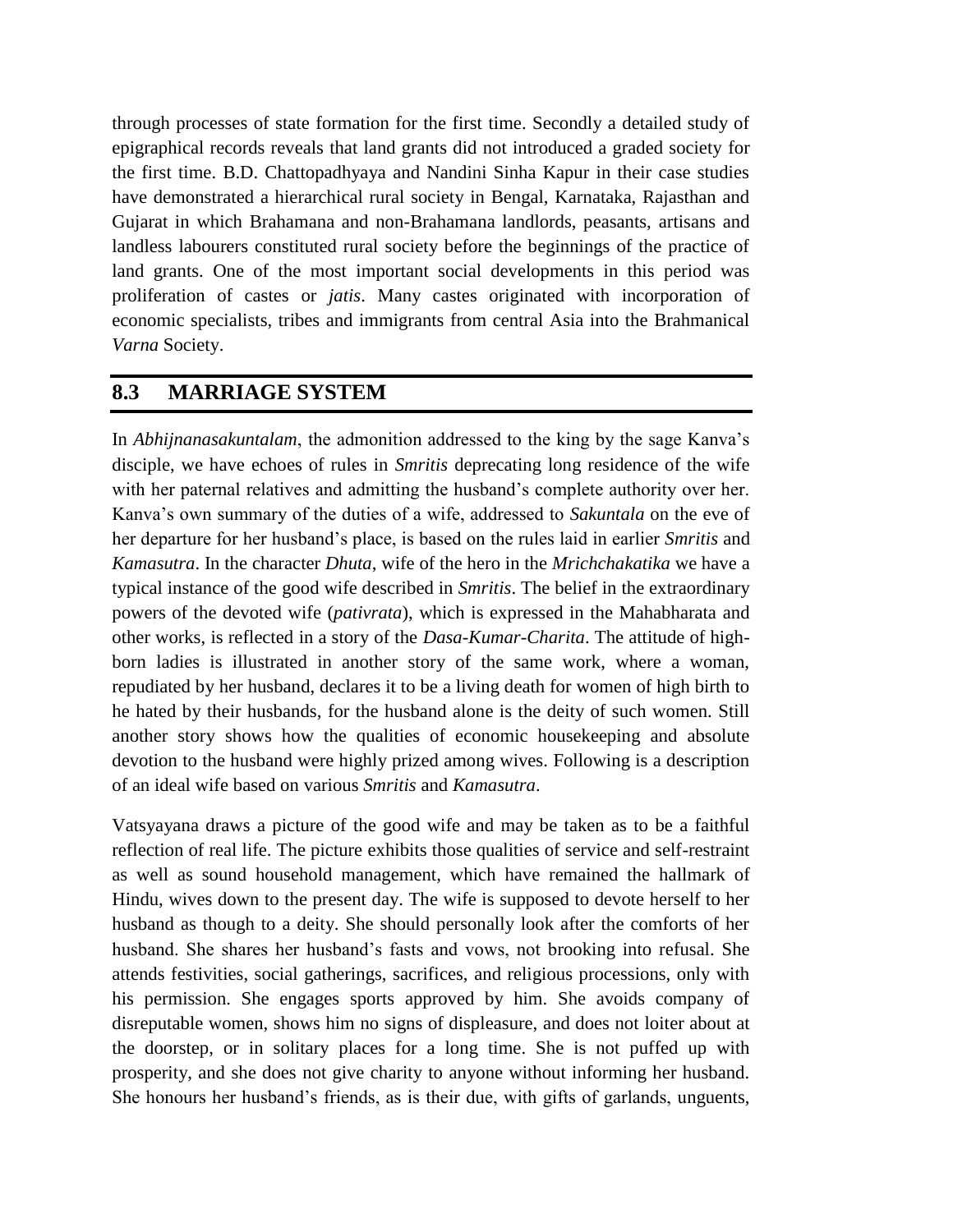There are no concrete evidences to determine the boundaries of Chandragupta's kingdom. But it is assumed that it covered parts of Bihar, Uttar Pradesh and Bengal.

Chandragupta-I is said to have also started a new era from 319-320 CE. It is not clear from any records that he started this era, which came to be known as Gupta *Samvat*or Gupta era, but since Chandragupta-I is mentioned as a *Maharajadhiraja* he is credited with the founding of the era. It was during the times of his son Samudragupta that the kingdom grew into an empire.

### **9.2.1 Samudragupta**

An inscription engraved (at a later date) on the Asokan pillar at Allahabad (known as *Prayagaprasasti*) gives us information about Samudragupta's accession and conquests. Harishena, an important official of the state, had composed 33 lines which were engraved on the pillar. The inscription mentions that *Maharajadhiraja* Chandragupta-I in a highly emotional tone declared his son Samudragupta as his successor. This caused joy among the courtiers and heart-burning among those of equal birth. It can be presumed that other princes might have put forward their contending claims which were put to rest by this declaration. Further, the discovery of some gold coins bearing the name of Kacha has generated a controversy relating to this. The controversy has arisen because;

- i. in many respects Kacha's coins are similar to the coins of Samudragupta,
- ii. the name of Kacha does not appear in the official lists of Gupta rulers, as they are available in the Gupta inscriptions.

Various interpretations have been given in this regard:

- According to one interpretation Samudragupta's brothers revolted against him and placed Kacha, the eldest brother, on the throne. However he died in the war of succession.
- Another view mentions that these coins were issued by Samudragupta in the memory of his brother.
- A third view mentions Kacha as the initial name of Samudragupta and the later name was adopted only after the conquest of south.

There is no solution to the controversy as each view has arguments in favour or against. We could only say that since the number of Kacha coins found so far is somewhat limited his hold over the throne would have been for a very short duration. Also that Samudragupta, instead of Chandragupta's abdication, did face problems in relation to accession to the throne but ultimately he emerged victorious.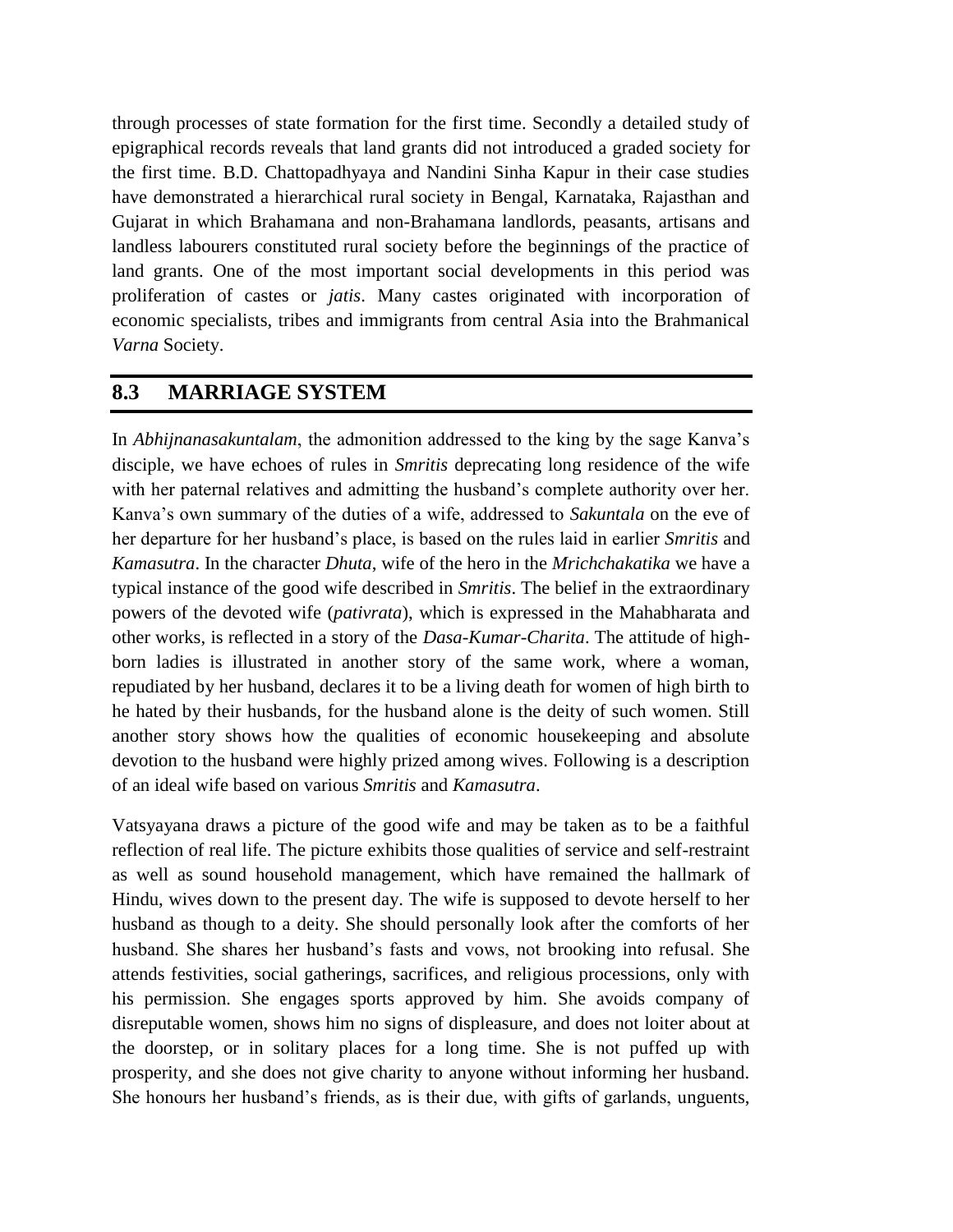#### **9.2.2.1** *Expansion and Consolidation*

For the expansion and consolidation of the Gupta power Samudragupta adopted an aggressive policy of conquests. This initiated a process which culminated in the formation of the Gupta empire. However, we have to take note here of the fact that in certain regions- particularly in the South--he let the kings, whom he had defeated, rule over their regions. Of course, they accepted his suzerainty and paid tributes. Such a policy adopted in relation to the far-flung areas might have paid dividends in solving problems of communication and effective control, hence bringing about stability for the time being. Let us briefly discuss the aggressive campaigns taken by Samudragupta in various regions. We may mention again that we come to know about all the campaigns of Samudragupta only from one record, the *Prayagaprasasti* of Harishena.

#### 1) **Campaigns in Aryavarta**

Some historians are of the view that Samudragupta carried his victorious campaign of Aryavarta at one time. However, some other historians, assuming that the *Prayagaprasasti* mentions the conquests of Samudragupta in a chronological order, have opined that there were two campaigns in north India. This is because the prasasti first mentions three Aryavarta kings, then it goes on to mention his southern campaign and again mentions nine Aryavarta kings. It appears that taking advantage of the war of succession, which Samudragupta had to face, certain rulers attempted to establish their dominance. It might be in this context that Samudragupta defeated Achyuta, Nagasena and Kota-Kulaja. There are no details regarding these conquests or regarding the identity of the specific regions over which they ruled. However, historians have identified Achyuta as ruling over Ahichchatra, Nagasena over Gwalior area and Kota-Kulaja or ruler of the Kota family in east Punjab and Delhi. Though differences continue to prevail over these identifications it is clear that Samudragupta, after defeating them, established firm control not only over the Ganga Valley but also over some adjacent regions.

#### **2) Campaign in South**

The *Prayagaprasasti* mentions twelve rulers from dakshinapatha or south India who were defeated by Samudragupta. These were:

- Mahendra of Kosala (Raipur, Durg, Sambalpur and Bilaspur districts)
- Vyaghraraja of Mahakantara (Jeypore, forest region of Odisha)
- Mantaraja of Kaurata (Probably Sonpur area in Madhya Pradesh or Plain country to the north-east of Mahendra hill)
- Mahendragiri of Pishtapura (Pithasuram, East Godavari district)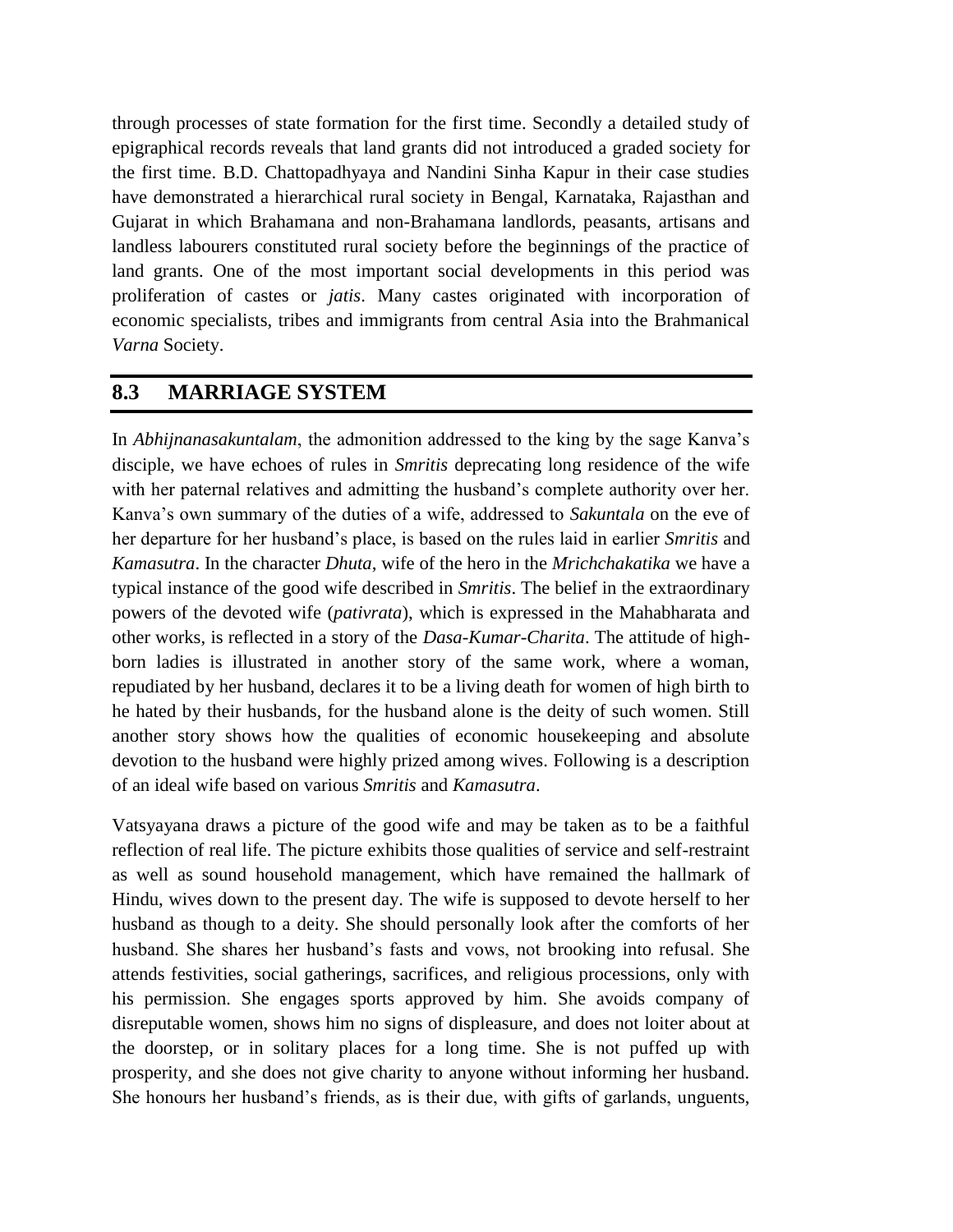- Svamidatta of Kottura (Ganjam district)
- Damana of Erandapalla (Chicacole or West Godavari district)
- Vishnugopa of Kanchi (Chingleput district)
- Nilaraja of Avamukta (Godavari Valley)
- Hasti-varman of Vengi (Cellor in the Krishna-Godavari delta)
- Ugresena of Palakka (Nellore district)
- Kubera of Devarastra (Yellamanchiti in Visakhapatnam district), and
- Dhananjaya of Kushthalpura (possibly in North Arcot district in Tamilnadu)

However, again there are differences among historians as to the specific identifications of these kings and their kingdoms. The *Prayagaprasasti* says that Samudragupta showed favour to be *Dakshinapatha* kings by first capturing them (*grahana*) and then releasing them (*moksha*). He pursued a completely different policy with regard to the kings of *Aryavarta* or north India. He not only defeated them but also annexed their territories which became integrated into the Gupta empire. The north Indian kings defeated by Samudragupta were Rudradeva, Matila, Nagadatta, Chandravarma, Ganapatinaga, Nagasena, Archyuta, Nandi, Balavarmna and others. It is impossible to identify all of them, but it is certain that they were ruling in different parts of northern India. Some of them were obviously Naga rulers who had been powerful in several regions before the Guptas. Rulers like Chandravarma who ruled in West Bengal represented new ruling families. The *Prasasti* further says that Samudragupta reduced all states in the forest regions to the position of servants. In another category are mentioned the frontier kingdoms like Samatata (in southeast Bengal), Kamarupa (Assam), Nepala (Nepal) and others and the republican states of the Malavas, Yaudheyas, Madrakas, Abhiras, etc. They paid him tributes of all kinds, carried out his orders and paid him homage. Rulers of another category of states acknowledged his sovereignty in a different way. They pleased him by "self-surrender, offering (their own) daughters in marriage, and a request for the administration of their own districts and provinces". This means that they remained independent but their independence had to be approved by Samudragupta. In this category were included the foreign rulers of north-western India like the later Kushanas and the Saka chief and residents of different island countries including Simhala or Sri Lanka.

#### **9.2.2 Chandragupta-II**

The Gupta inscriptions mention Chandragupta-II as Samudragupta's successor. But on the basis of literary sources, some copper coins and inscriptions it is suggested that the successor was Samudragupta's other son Ramagupta. Visakhadatta's drama *Devi-Chandraguptam* mentions that Chandragupta-II killed his elder brother Ramagupta. He did this because Ramagupta was facing defeat at the hands of the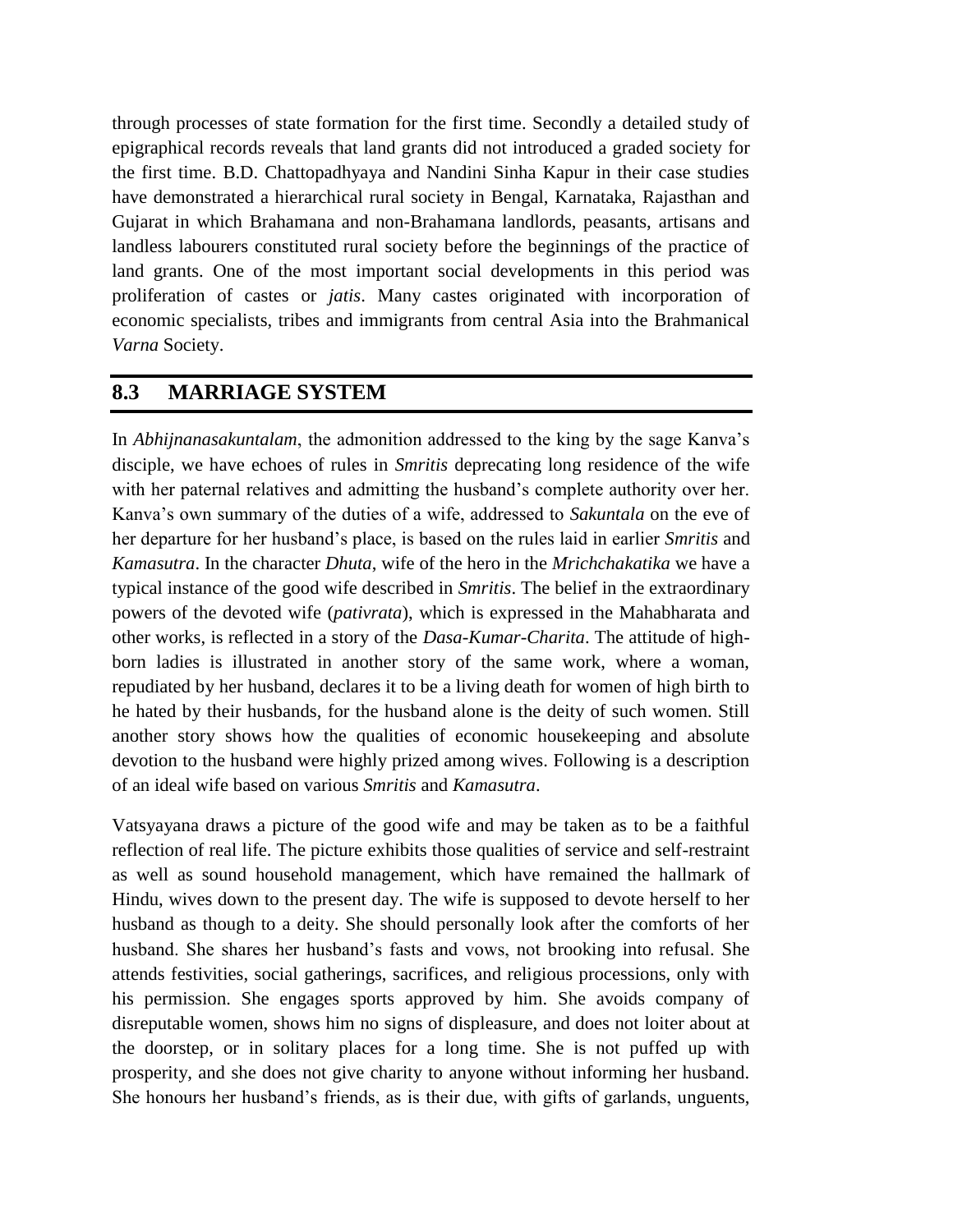Sakas and in order to save the kingdom, he had agreed to surrender his wife to the Saka king. Chandragupta-II protested, and went to the Saka camp in the disguise of the queen Dhruvadevi. He was successful against the Saka king but as a result of the subsequent hostility with his brother he killed him and married his wife Dhruvadevi. Certain other texts like the *Harsacharita*, *Kavyamimansa*, etc., also refer to this episode. Some copper coins bearing the name Ramagupta have also been found and inscriptions on the pedestals of some Jaina images found at Vidisa, bear the name Maharaja Ramgupta. Similarly, Dhruvadevi is described as mother of Govindagupta (Chandragupta's son) in a Vaisali seal. We can say that Chandragupta ascended the throne at a time when there were problems emerging again and he had to lead military campaigns to establish Gupta supremacy once again. He entered into matrimonial alliances with the Nagas by marrying princess Kuberanaga whose daughter Prabhavati was later on married to Rudrasena-II of the Vakataka family. Though there is no record like the *Prayagaprasasti* to describe the events of his reign we do get information about Chandragupta's campaigns and successes from certain inscriptions, literary sources and coins: He defeated the Saka king Rudrasimha-III and annexed his kingdom. This brought an end to Saka Kshatrapa rule in western India and added the regions of Gujarat, Kathiawad and west Malwa to the Gupta empire. The details of Chandragupta's campaigns against the Sakas are not known. His matrimonial alliances with the Vakatakas and the Nagas must have been of tremendous significances in his preparations for the campaigns. Two inscriptions at the Udayagiri caves near Sanchi and one inscription at Sanchi, all referring to Chandragupta-II and to his subordinate rulers and military officials, also suggest that he was present in eastern Malwa for some time preparing for the campaigns. One inscription describes him as "desirous of conquering the whole earth". That his conquest of the territories of the Sakas was complete is proved beyond doubt because:

- We no longer find any Saka coins minted after this period, although Saka coins were being minted without a break for almost four hundred years previously.
- The Guptas, from the time of Chandragupta, started minting Saka-type silver coins for this region. They only added their own distinct symbols on these coins, otherwise, the coins were like Saka coins in circulation till then. This definitely shows that the Saka areas came within the control of Chandragupta-II.
- The success of Chandragupta-II against the Sakas seems to have developed later on into the tradition of Sakari Vikramaditya, that is, of Vikramaditya, who was an enemy of the Sakas.
- 'King Chandra', whose exploits have been mentioned in the Mehrauli Iron Pillar Inscription, which is located in the Qutab Minar complex in Delhi is identified by many scholars with Chandragupta-II. According to this inscription Chandra crossed the Sindhu region of seven rivers and defeated Valhikas (identified with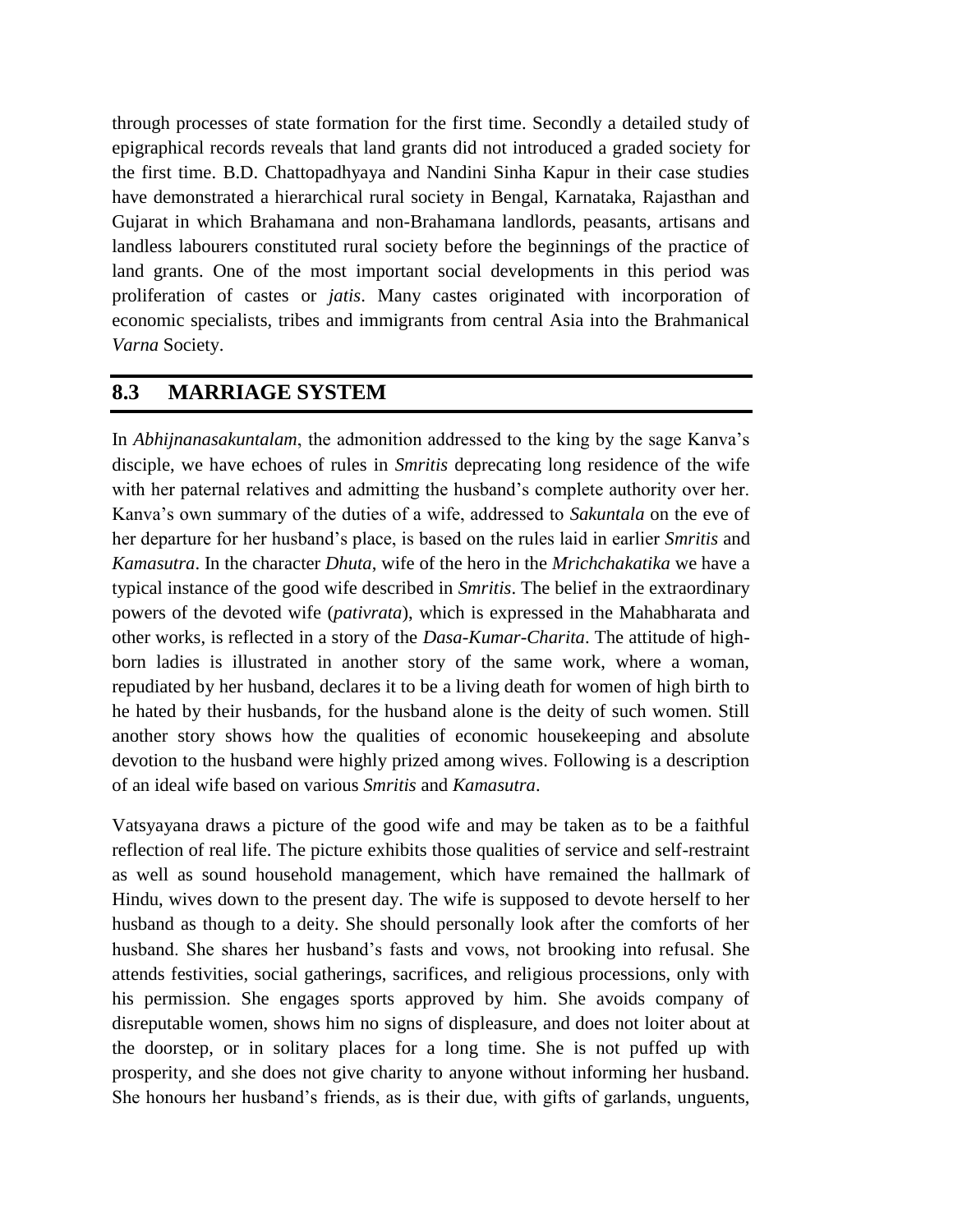Bactria). Some scholars identify Chandragupta-II with the hero of Kalidasa's work *Raghuvamasa* because Raghu's exploits appear comparable with those of Chandragupta.

• The Mehrauli inscription also mentions Chandragupta's victory over enemies from Vanga (Bengal).

On the basis of these evidences it can be suggested that Chandragupta-II was able to extend the frontiers of the Gupta empire to western, north-western and eastern India.

An important incident which took place during this period was the visit of Fa-Hien, a Chinese pilgrim, who came to India in search of Buddhist texts. In his memoirs he has given a vivid description of the places he visited and certain social and administrative aspects related to them. However, he does not mention the name of the King in his accounts. But he speaks highly of the King of *Madhyadesa*, the region which was directly ruled by the Gupta monarch in this period, under whom the people were prosperous and happy. Chandragupta-II is also known for his patronage to men of letters and he ruled till about 415-16 CE.

### **9.2.3 Kumaragupta-I**

Chandragupta-II was succeeded by his son Kumaragupta. We get information about him from certain inscriptions and coins. For example:

- The earliest known inscription of his period is from Bilsad (Etah district) which is dated 415 CE (Gupta Era 96).
- The Karamdanda (Faizabad) inscription of Kumaragupta's minister (436 CE) mentions his fame having spread to the four oceans.
- A stone inscription from Mandsor (436 CE) mentions Kumaragupta as reigning over the whole earth.
- The Damodarpur Copper Plate inscriptions (433 CE and 447 CE) refer to him as Maharajadhiraja and show that he himself appointed the governor (*Uparika*) of Pundravardhana *bhukti* (or province) being the biggest administrative division in the empire.
- The last known date of Kumaragupta is from a silver coin dated 455 CE (Gupta Era 136).

The wide area over which his inscriptions are distributed indicates that he ruled over Magadha and Bengal in the east and Gujarat in the west. It has been suggested that towards the last year of his reign the Gupta empire faced foreign invasion which was checked by the efforts of his son Skandagupta. He maintained cordial relationship with the Vakatakas which had been established through matrimonial alliances earlier.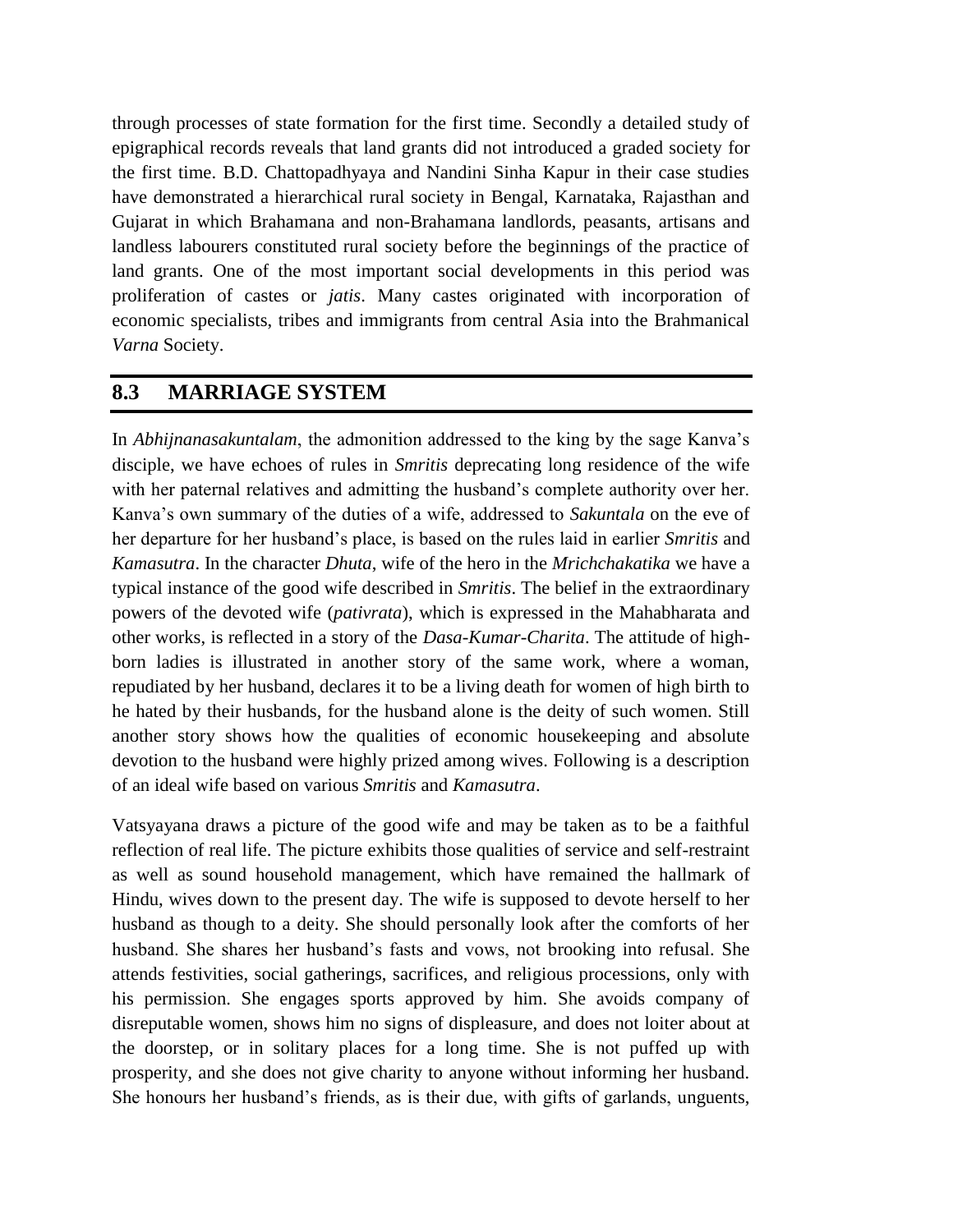#### **9.2.4 Skandagupta**

Skandagupta, who succeeded Kumaragupta-I was perhaps the last powerful Gupta monarch. To consolidate his position he had to fight the Pushyamitras, and the country faced Huna invasion from across the frontiers in the northwest. However, Skandagupta was successful in throwing the Huns back. It appears that these wars adversely affected the economy of the empire, and the gold coinage of Skandagupta bears testimony to that. In comparison to the gold coins of the earlier rulers the types of gold coins minted by Skandagupta were limited. In addition to following the earlier system of weights, he introduced a new, heavier weight system for gold coins but generally his coins had less gold in them than earlier coins.

Moreover, he appears to have been the last Gupta ruler to mint silver coins in western India. However, the Junagadh inscription of his reign tells us about the public works undertaken during his times. The Sudarsanalake (originally built during the Maurya times) burst due to excessive rains and in the early part of his rule his governor Pamadatta got it repaired. This indicates that the state undertook the task of public works. The last known date of Skandagupta is 467 CE from his silver coins.

#### **Gupta Rulers after Skandagupta**

It is not very clear in what order the successors of Skandagupta ruled. Skandagupta himself may not have been the rightful heir to the throne and therefore he had to fight other contenders to the throne. This may be the reason why a seal inscription traces a line of Gupta rulers after Skandagupta from Kumaragupta-I and his son Purugupta and not Skandagupta. Secondly, it is probable that the division of the Gupta empire into many parts already began towards the close of Skandagupta's reign. Thus an inscription from western Malwa, recorded in the last year of Skandagupta does not refer to him but to some other rulers beginning with Chandragupta-II.

Some of the successors of Skandagupta, mentioned in inscriptions, were: Budhagupta, Vainyagupta, Bhanagupta, Narasimhagupta Baladitya, Kumaragupta-II and Vismigupta. It is unlikely that all of them ruled over a vast empire, as Chandragupta-II and Kumaragupta-I had done in an earlier period. The Guptas continued to rule till about 550 CE, but by then their power had already become very insignificant.

#### **9.2.5 Disintegration of the Gupta Empire**

In this section we deal with some of the factors that contributed towards the disintegration of the Gupta empire.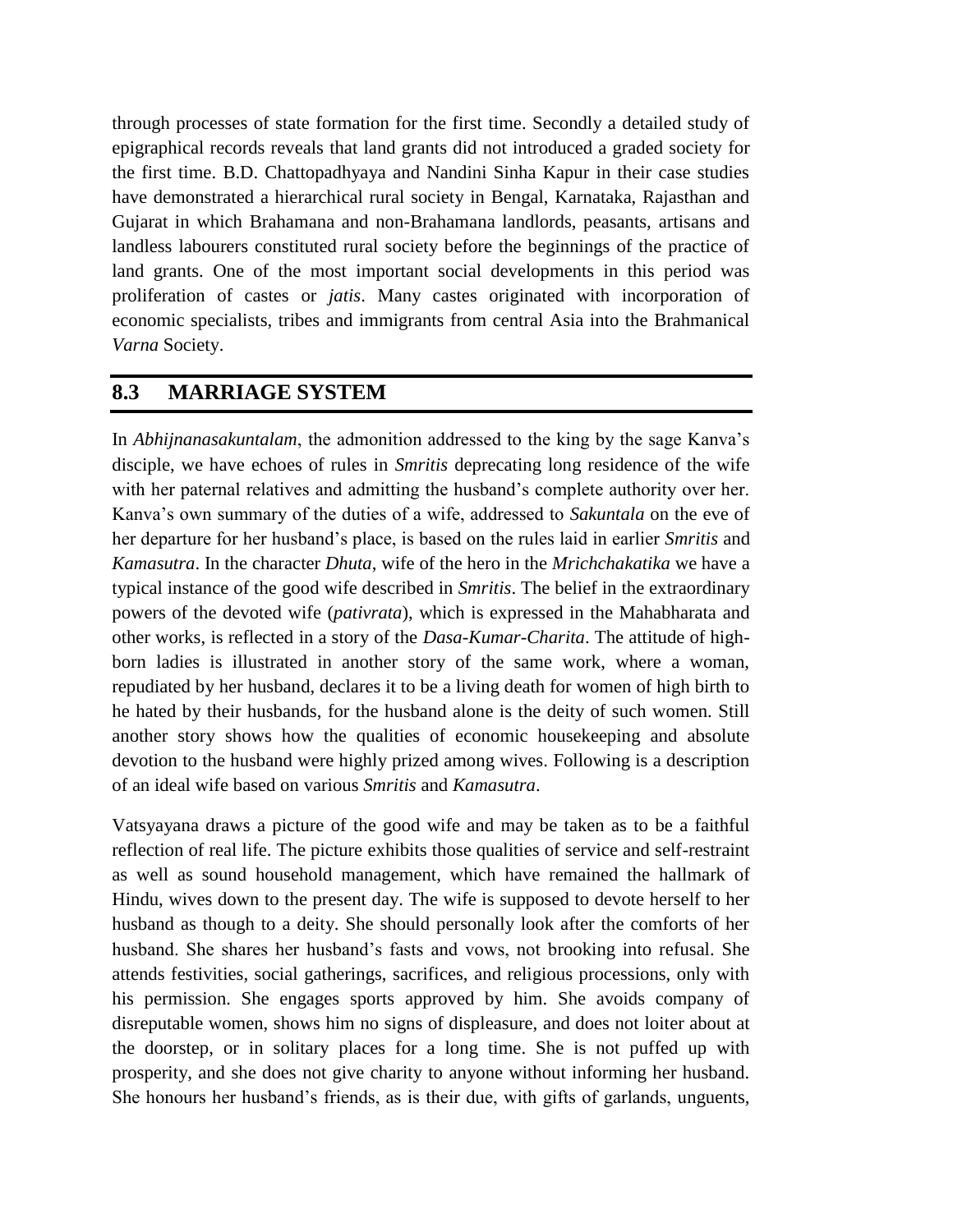#### **9.2.5.1** *Huna Invasions*

From the time of Kumaragupta-I the north-west borders had been threatened by the Hunas a Central Asian tribe which was successfully moving in different directions and was establishing pockets of rule in northwestern, northern and western India. But their attacks were repulsed during that period. However, towards the end of the fifth century CE the Huna chief Tormana was able to establish his authority over large parts of western India and in central India. Mihirakula, his son, further extended the dominions. Thus, the Huna attacks caused a major blow to the Gupta authority particularly in northern and western regions of the empire.

#### **9.2.5.2** *Administrative Weaknesses*

The policy adopted by the Guptas in the conquered areas was to restore the authority of local chiefs or kings once they had accepted Gupta suzerainty. In fact, no efforts were made to impose a strict and effective control over these regions. Hence it was natural that whenever there was a crisis of succession or a weak monarchy within the Gupta empire these local chiefs would reestablish their independent authority. This created a problem for almost every Gupta King who had to reinforce his authority. The constant military campaigns were a strain on the state treasury. Towards the end of the fifth century CE and beginning of sixth century CE taking advantage of the weak Gupta emperors, many regional powers reasserted their authority, and in due course declared their independence

Besides these, there were many other reasons which contributed to the decline of Guptas. For example, it has been argued that the Guptas issued land grants to the Brahamana donees and in this process surrendered the revenue and administrative rights in favour of the donees. Further, it is believed that the Sarnanta system in which the Samantas or minor rulers, who ruled as subordinates to the central authority, started to consolidate itself in the Gupta period. This is also believed to be the reason why Gupta administrative structure became so loose. There is diversity of opinion as to how the system originated and regarding the details of the system, but the presence of many Samantas within the empire does show that they wielded power almost independently of the Gupta authority.

There is no doubt that divisions within the imperial family, concentration of power in the hands of local chiefs or governors, loose administrative structure of the empire etc. contributed towards the disintegration of the Gupta empire.

#### **Check Your Progress 1**

- 1) Mark which of the following statements are right  $(\sqrt{})$  or wrong  $(\times)$ .
	- i. Chandragupta-I had a matrimonial alliance with Lichchhavis. ( )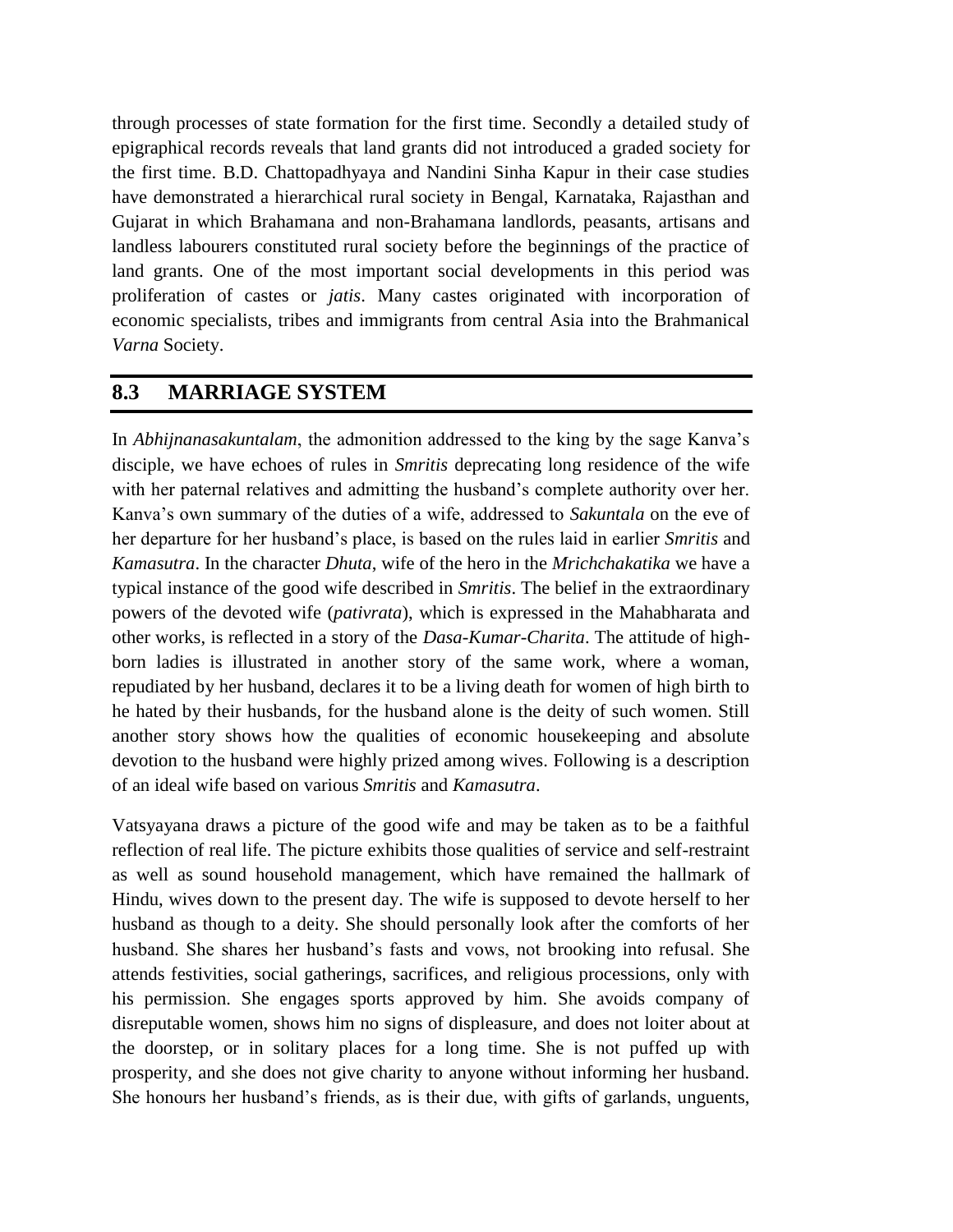- ii. The Prayagaprasasti refers to the victories of Pravarsena. ( )
- iii. The Huna invasion during Kumaragupta's time was checked by Skandagupta. ( )
- iv. Fa-Hien came to India in search of Jaina texts. ( )
- v. Ramagupta is said to be Chandragupta-II's elder brother. ( )
- vi. Sudarshanlake was repaired during Skandagupta's rule. ( )
- 2) Discuss in about ten lines the efforts made by Samudragupta for the expansion of Gupta empire.

………………………………………………………………………………………… ………………………………………………………………………………………… ………………………………………………………………………………………… ………………………………………………………………………………………… ………………………………………………………………………………………… ………………………………………………………………………………………… ………………………………………………………………………………………… ………………………………………………………………………………………… ………………………………………………………………………………………… …………………………………………………………………………………………

3) Discuss in about ten lines the military campaigns of Chandragupta-II.

………………………………………………………………………………………… ………………………………………………………………………………………… ………………………………………………………………………………………… ………………………………………………………………………………………… ………………………………………………………………………………………… ………………………………………………………………………………………… ………………………………………………………………………………………… ………………………………………………………………………………………… ………………………………………………………………………………………… …………………………………………………………………………………………

### **9.3 POLITY AND ADMINISTRATION UNDER THE GUPTAS**

We have a few important sources for the study of the Gupta polity and administration. Some literary sources like various *Smritis, Manavadharmasastra, Yajnavalka Smritis, NaradaSmriti* and Kamandaka's *Nitisara*, etc., are important sources. The *Damodarpur* and the *Eran* inscriptions throw light on Gupta administration. Let us analyse the polity and administration of the Guptas. The Gupta kings did not interfere in the administration of those regions where the kings had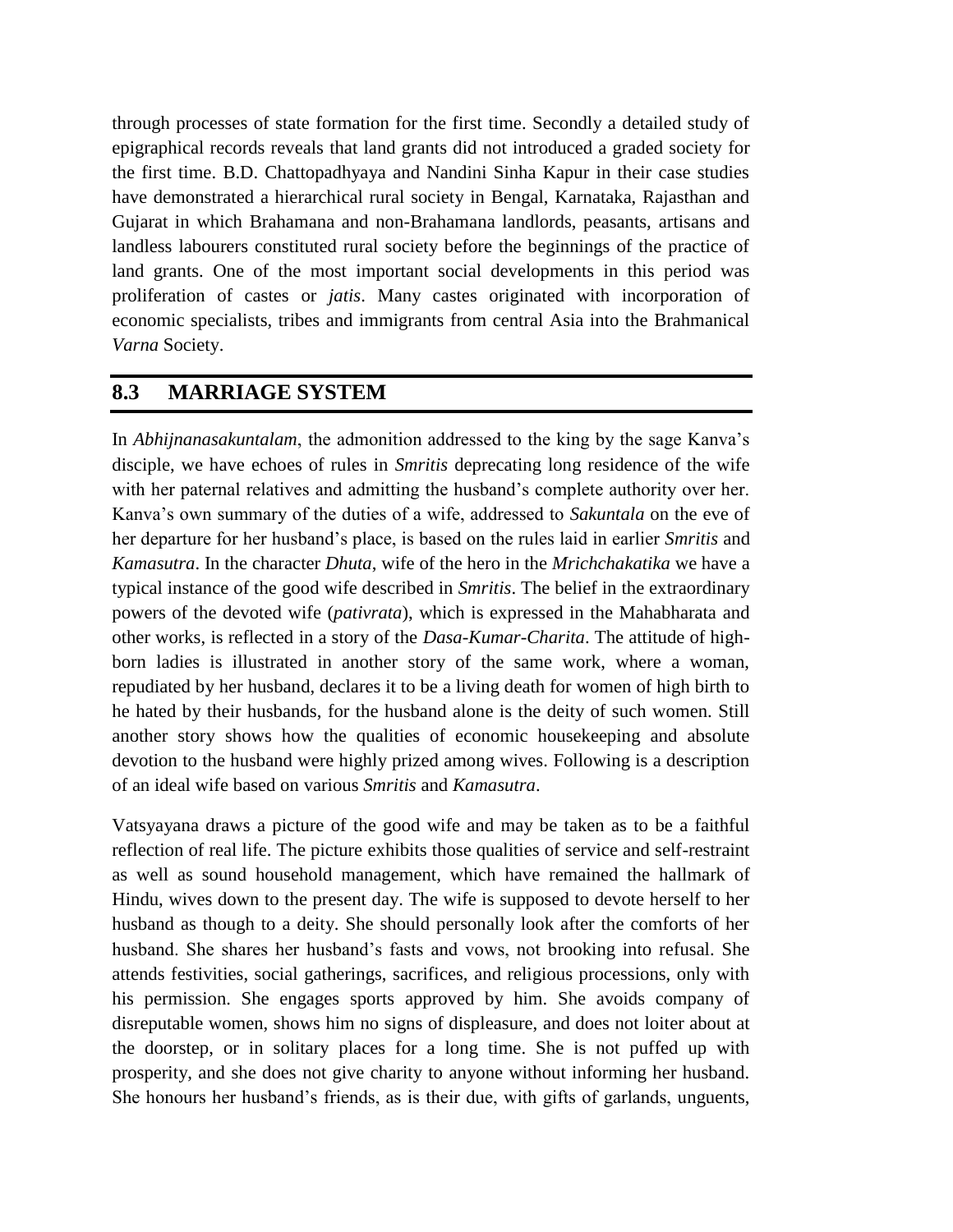accepted their suzerainty. However, this does not mean that the Guptas were ruling only through their feudatories. They had an elaborate administrative system which was in operation in areas which were directly controlled by them.

### **9.3.1 King**

The King remained the central figure of administration. However, there was a considerable change in the character of monarchy. We find that the Gupta monarchs adopted high sounding titles like: *Paramabhattaraka*, *Parama-daivata*, *Chakravarti*, *Paramesvara*, etc. For example, the Allahabad *Prasasti* of Samudragupta describes him as "*equal to the gods: Dhanada (Kubera), Varuna (Sea-God), Indra and Antaka (Vama), who had no antagonist of equal power in the world*." Like the King who has been given a divine status in the *Smriti* scriptures, the Gupta monarchs too came to be considered a divinity on earth. However, in the spirit of *Smriti* literature and that of Kalidasa we find Skandagupta in his Bhitari Pillar inscription eulogized as a person who "*subdued the earth and became merciful to the conquered people, but he became neither proud nor arrogant though his glory was increasing day by day*", and his father Kumaraguptaasa person who "*followed the true path of religion*". Such references to the monarchy indicate that instead of the supreme powers that vested in the King he was expected to follow a righteous path, and had certain duties *i.e*.,

- It was the King's duty to decide the policy of the state during war and peace. For instance, Samudragupta was prudent enough to reinstate the monarchs of *dakshinapatha* in their original kingdoms.
- It was considered a prime duty of the monarch to protect his countrymen from any invasion.
- The King was to lead the army in case of war. This is demonstrated through the campaigns of Samudragupta and Chandragupta-II.
- The King was also expected to support the Brahmanas, Sramanas and all others who needed his protection.
- He was also supposed to venerate the learned and religious people and give them every possible help.
- As the supreme judge he looked after administration of justice according to religious percepts and existing customs.
- It was the duty of the King to appoint his central and provincial officers.
- The *Prayagaprasasti* as well as the *Apratigha* type coins of Kumaragupta-I point to the appointment of successor to the throne by the reigning King.

An important political development of this period was the continuity of various kings in their regions once they had accepted the suzerainty of the Gupta King, and the Gupta King would not interfere with the administration of such regions.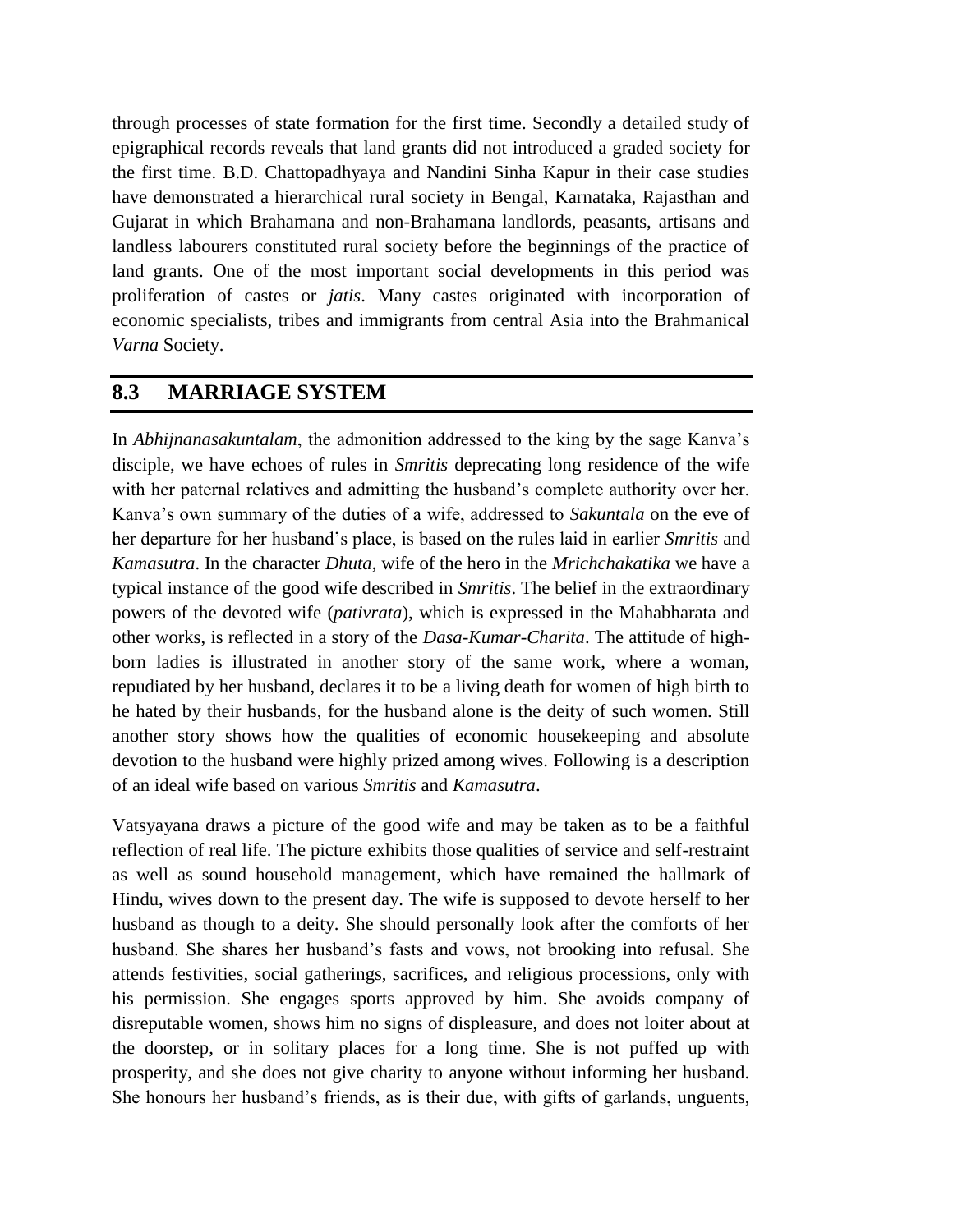#### **9.3.2 Council of Ministers and Other Officials**

The Gupta inscriptions are not very clear about the hierarchy of ministers. However, there is no doubt that the King used to take counsel of his ministers and issue written instructions to officials on all important matters.

The minister's office was perhaps hereditary. For example, the Udayagiri inscription of the time of Chandragupta-II informs us that Virasena Saba, the minister for war and peace, was holding this office by inheritance. Though the supreme judicial powers were vested in the King, he was assisted by the *Mahadandanayaka* (Chief Justice). In the provinces this work was entrusted to the *Uparikas* and in districts to the *Vishayapatis*. In villages, the headman and the village elders used to decide the petty cases. The Chinese traveler Fa-Hien states that capital punishment was not given at all.

There were some other high officials. For example, the *Mahapratihara* was the chief of the palace guards, the *Pratihara* regulated ceremonies and granted the necessary permits for admission to the royal presence. There existed an espionage system as in the earlier period. The land grant inscriptions often mention *Dutakas* who were associated with the task of implementing gifts when gifts of land were made to Brahmanas and others.

#### **9.3.3 Army**

The Guptas must have had a big army organisation. At the time of war the King led his army but ordinarily there was a minister called *'Sandhi*-*Vigrahika'* (Minister in charge of peace and war) who was helped by a group of high officials. The official title *Mahabaladhikrita* occurs in many inscriptions. Officials like *Pilupati* (head of elephants), *Asvapati* (head of horses), *Narapati* (head of foot soldiers) possibly worked under him. The army was paid in cash and its needs were well looked after by an officer-in-charge of stores called *Ranabhandagarika*. Amongst other duties this officer was to look after the supply of offensive and defensive weapons such as battle-axes, bows and arrows, spear pikes, swords, lances, javelins, etc.

#### **9.3.4 Revenue Administration**

Land revenue was the main source of the state's income besides the fines. In Samudragupta's time we hear of an officer *Gopasramin* working as *Akshapataladhikrita*. His duty was to enter numerous matters in the accounts registers, recover royal dues from the sureties of servants, to check embezzlement and recover fines for loss due to neglect or fraud.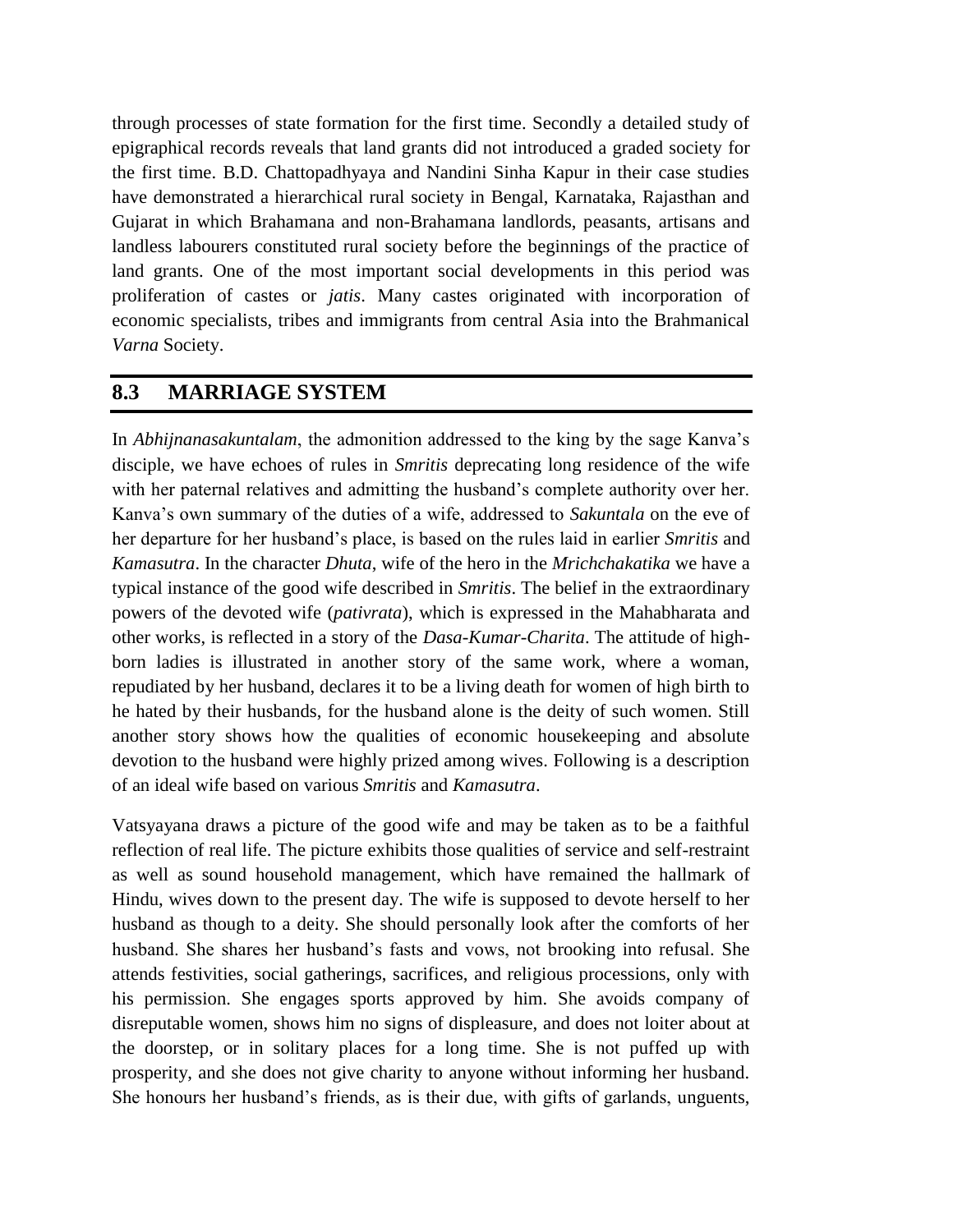Another prominent high official was *Pustapala* (record-keeper). It was his duty to make enquiries before recording any transaction. The Gupta kings maintained a regular department for the proper survey and measurement of land as well as for the collection of land revenue. Kamandaka in the *Nitisara* suggests that a King should take special care of his treasury, for the life of the state depends solely on it.

Both Kalidasa and the author of the *Narada-Smriti* state that one-sixth  $\binom{1}{6}$  of the produce should be claimed as the royal revenue. Besides this there was the *Uparikara* which was levied on cloth, oil, etc. when taken from one city to another. The organization of traders had to pay a certain commercial tax (*Sulka*), the nonpayment of which resulted in cancellation of the right to trade and a fine amounting to eight times of the original *Sulka*. The King had a right to forced labour (*Visthi*), Bali and many other types of contributions. The King's income from royal lands and forests was considered as his personal income. Besides this, the King's treasury had a right to treasure troves (treasures in the forms of coin-hoards, jewels or other valuable objects, discovered from below the earth accidentally), digging of mines and manufacture of salt.

#### **9.3.5 Judicial Administration**

The inscriptions of the Guptas do not throw any definite light on their judicial system. The *Katyayana Smriti* lays down in the traditional way that the king is the highest judge. He personally attended the court to listen to cases and was assisted by the body of Ministers (*Amatyas*), Judges (*Pradvivaka*), Brahmins (*Purohita*).In the cities, the city magistrates were assisted by the heads of the *Shrenis* or guilds, merchants, etc. In the villages, the village *panchayats* or family gatherings (*Kulas*) disposed of the cases. The criminal law as a whole was lenient as testified to by the Chinese pilgrim Fa-hien.

#### **9.3.6 Provinces, Districts and Villages**

The whole empire was divided into *Desas*, or *Rashtras*, or *Bhuktis*. The inscriptions provide us with the names of certain *Bhuktis*. In Bengal we hear of *Pundravardhara Bhukti* which corresponded to north Bengal. *Tira*-*bhukti* corresponded to north Bihar. The *Bhuktis* were governed by *Uparikas* directly appointed by the King. In areas like western Malwa we find local rulers like Bandhuvarman ruling as subordinate to Kumaragupta-I but Parnadana was appointed a governor in Saurashtra by Skandagupta.

The Province or *Bhukti* was again divided into districts or *Vishayas* under an official called *Ayuktaka* and in other cases a Vistiyapati.Hi4 appointment was made by the provincial governor. Gupta inscriptions from Bengal show that the office (*Adhikarana*) of the district- head associated with itself representation from major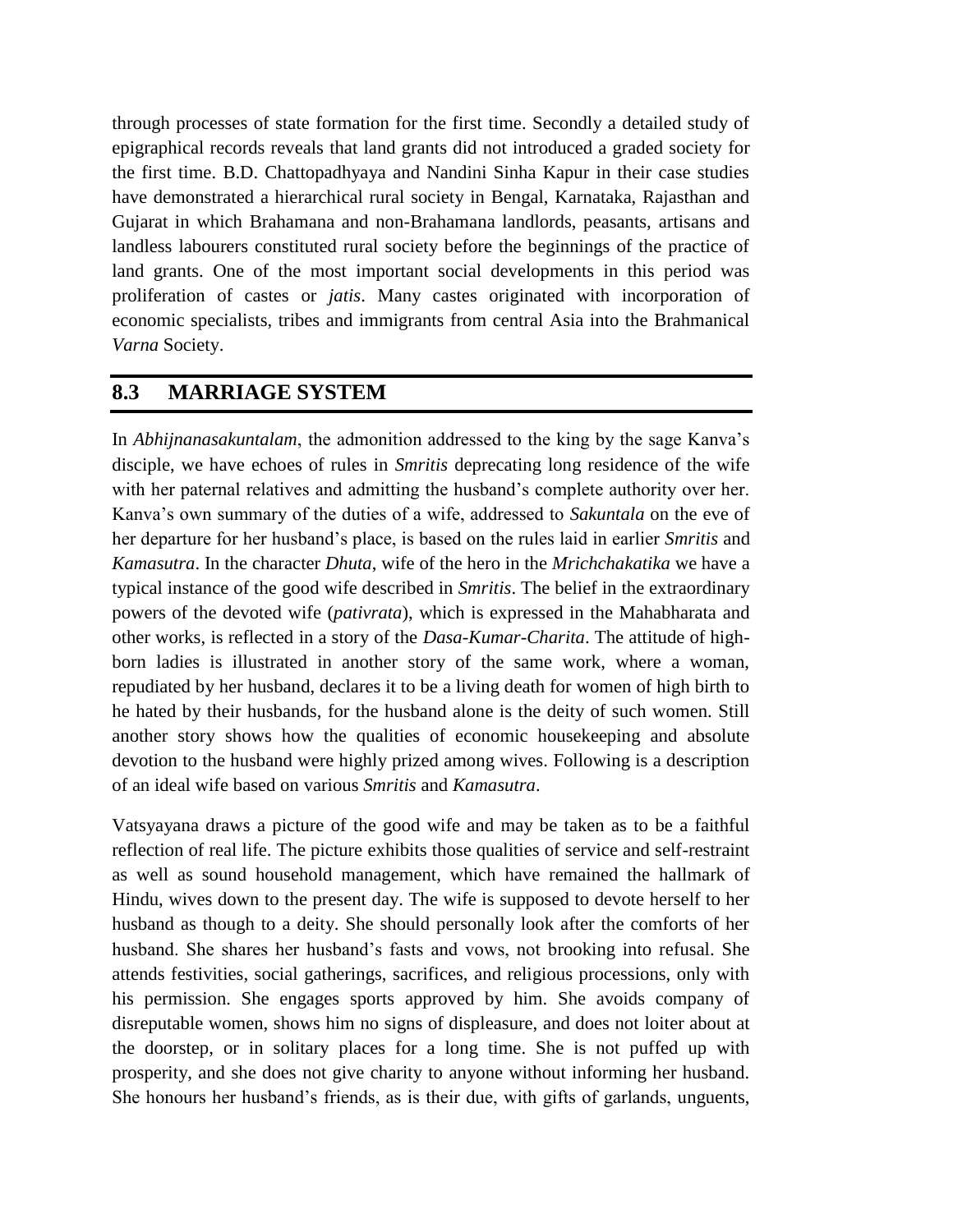local communities: the *Nagarasresthi* (head of city merchants). *Sarthavaha* (Caravan-leader). *Prathama*-*Kulika* (head of the artisan community and *Prathama Kayastha* (head of the *Kayastha* community). Besides them, there were the *Pustapalas*-officials whose work was to manage and keep records. The lowest unit of administration was the village. In villages there was a headman called *Gramapati* or *Gramadhayaksha*.

However, the Gupta inscriptions from north Bengal show that there were other units higher than the village. In some cases we find references to *Astakuladhikarana*. Different categories of villages mentioned as *Gramikas*, *Kutumbis* and *Mahattaras* sent representatives to these offices which on various occasions functioned above the level of the village.

Besides agriculturists, there were certain other groups in the villages who followed such professions as carpentry, spinning and weaving, pot-making, oil extraction, gold smithery, and husbandry. All these groups must have constituted local institutions or bodies which looked after the affairs of the village. The village disputes were also settled by these (bodies) with the help of *Grama*-*vriddhas* or village elders.

#### **Check Your Progress 2**

- 1) Mark which of the following statements are right  $(\forall)$  or wrong  $(\times)$ .
	- i. The King no more remained a central figure under the Guptas. ( )
	- ii. The King was to lead the army in case of war. ( )
	- iii. Mahadandanayaka was the minister of revenues. ( )
	- iv. One-sixth of the produce was claimed as royal revenue. ( )
	- v. The highest unit of administration was the village.( )
- 2) Write in about five lines about the revenue administration of Guptas.

………………………………………………………………………………………… ………………………………………………………………………………………… ………………………………………………………………………………………… ………………………………………………………………………………………… ………………………………………………………………………………………… 3) Write in about ten lines the powers and duties of the King. ………………………………………………………………………………………… ………………………………………………………………………………………… ………………………………………………………………………………………… ………………………………………………………………………………………… ………………………………………………………………………………………… …………………………………………………………………………………………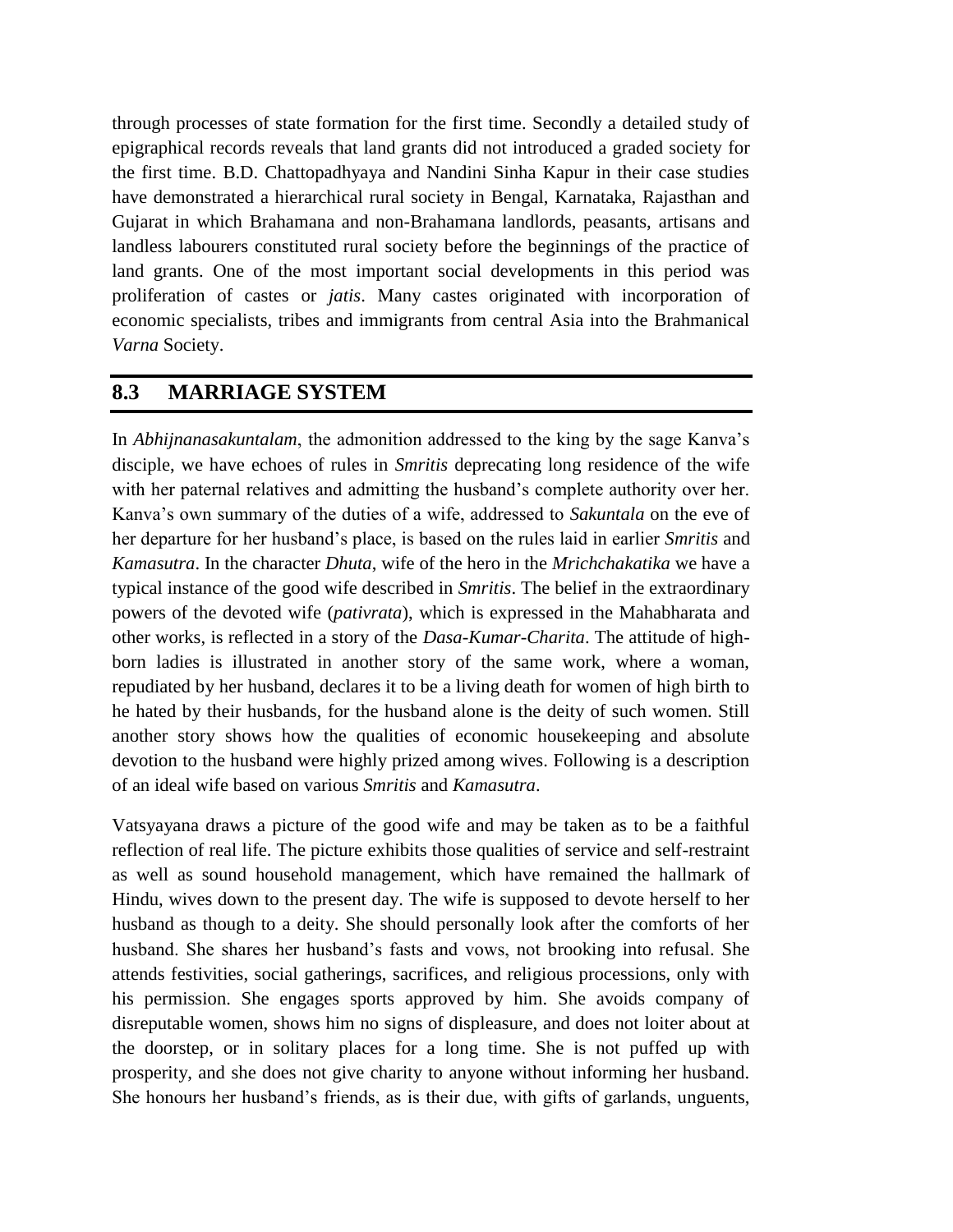………………………………………………………………………………………… …………………………………………………………………………………………

### **9.4 LET US SUM UP**

In the beginning of the fourth century CE north India was divided into many small kingdoms and chiefdoms. These kingdoms in different regions often fought with each other. It was in such a political situation that the Gupta dynasty gained power and gradually established an empire. The kings of this dynasty undertook extensive military campaigns in different regions. It was under Samudragupta and Chandragupta-II that the imperial power was properly consolidated. The Guptas remained a strong force till the time of Skandagupta but after him the process of disintegration started. Various factors like foreign invasion, dissension within the ruling family, reassertion of power by local chiefs, administrative weakness, etc. hastened the process of disintegration. Considerable changes had taken place in the Gupta polities and administration when compared to the earlier periods. An important aspect related to kingship was the continuity of various kings in their regions once they had accepted the suzerainty of the Gupta King

#### **9.5 KEY WORDS**

**Consolidation:** the action or process of making something stronger or more solid.

**Eulogize:** praise highly in speech or writing.

**Polity:** a form or process of civil government or constitution.

#### **9.6 ANSWERS TO CHECK YOUR PROGRESS EXERCISES**

#### **Check Your Progress 1**

- 1) i)  $\times$  ii)  $\sqrt{\phantom{0} }$  iii)  $\times$  iv)  $\sqrt{\phantom{0} }$  v)  $\times$
- 2) See Sub-sec. 9.2.2.1
- 3) See sec. 9.2.2

#### **Check Your Progress 2**

1) i)  $\sqrt{\phantom{0}i}$  ii)  $\times$  iii)  $\sqrt{\phantom{0}}$  iv)  $\times$  v)  $\sqrt{\phantom{0}}$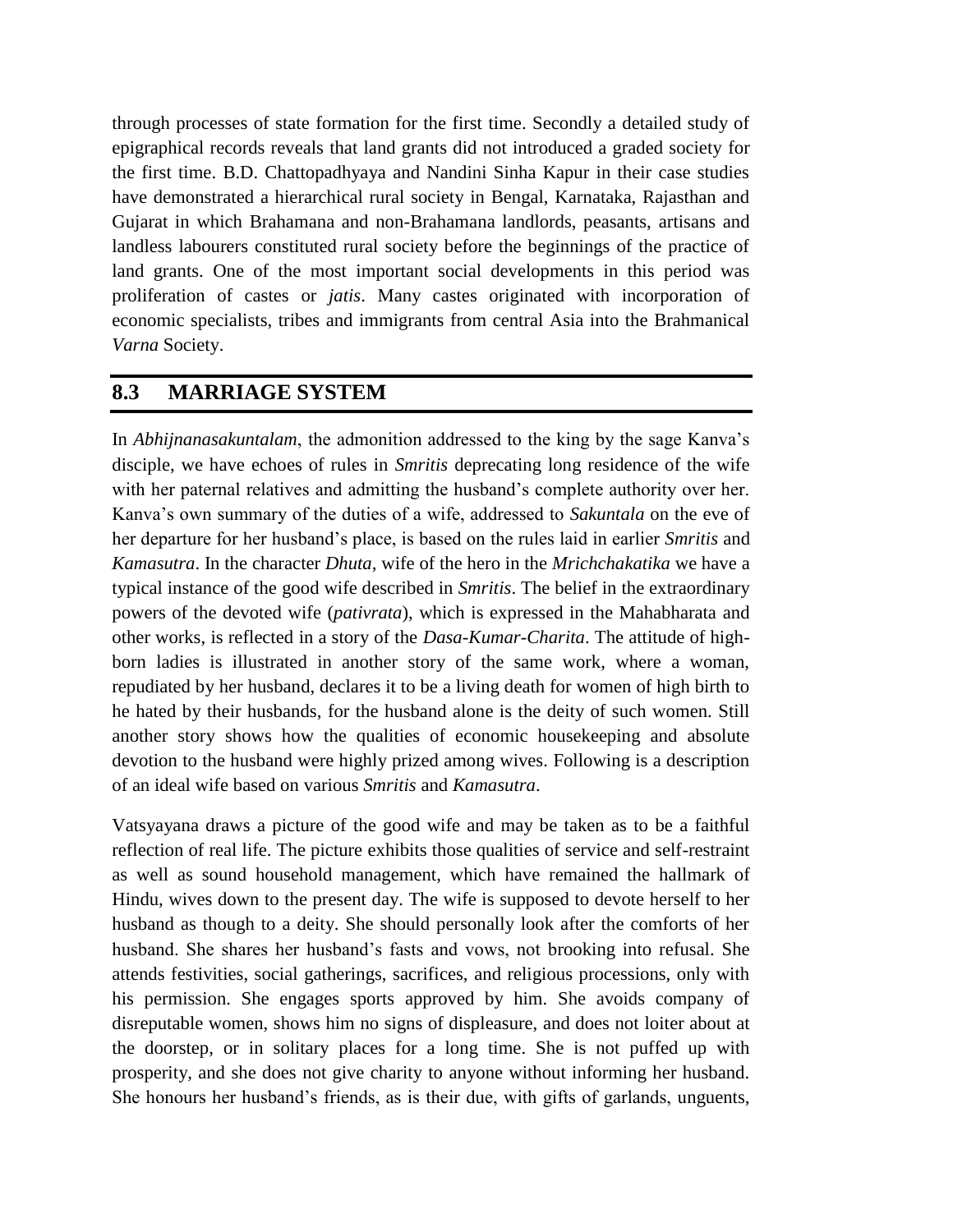- 2) See Sub-sec. 9.3.4
- 3) See Sub-sec. 9.3.1

### **SUGGESTED READINGS**

- Allchin, B. and Allchin, R., 1988. *The Rise of Civilisations in India and Pakistan*, New Delhi.
- Sharrna R.S., 1983. *Material Cultures and Social Formations in Ancient India*, New Delhi.
- Singh, U., 2009. *A History of Ancient and Early Medieval India – From the Stone Age to the 12th Century*, Delhi: Pearson.

Tripathi, R.S., 1942. *History of Ancient India,* Delhi: Motilal Banarsidas.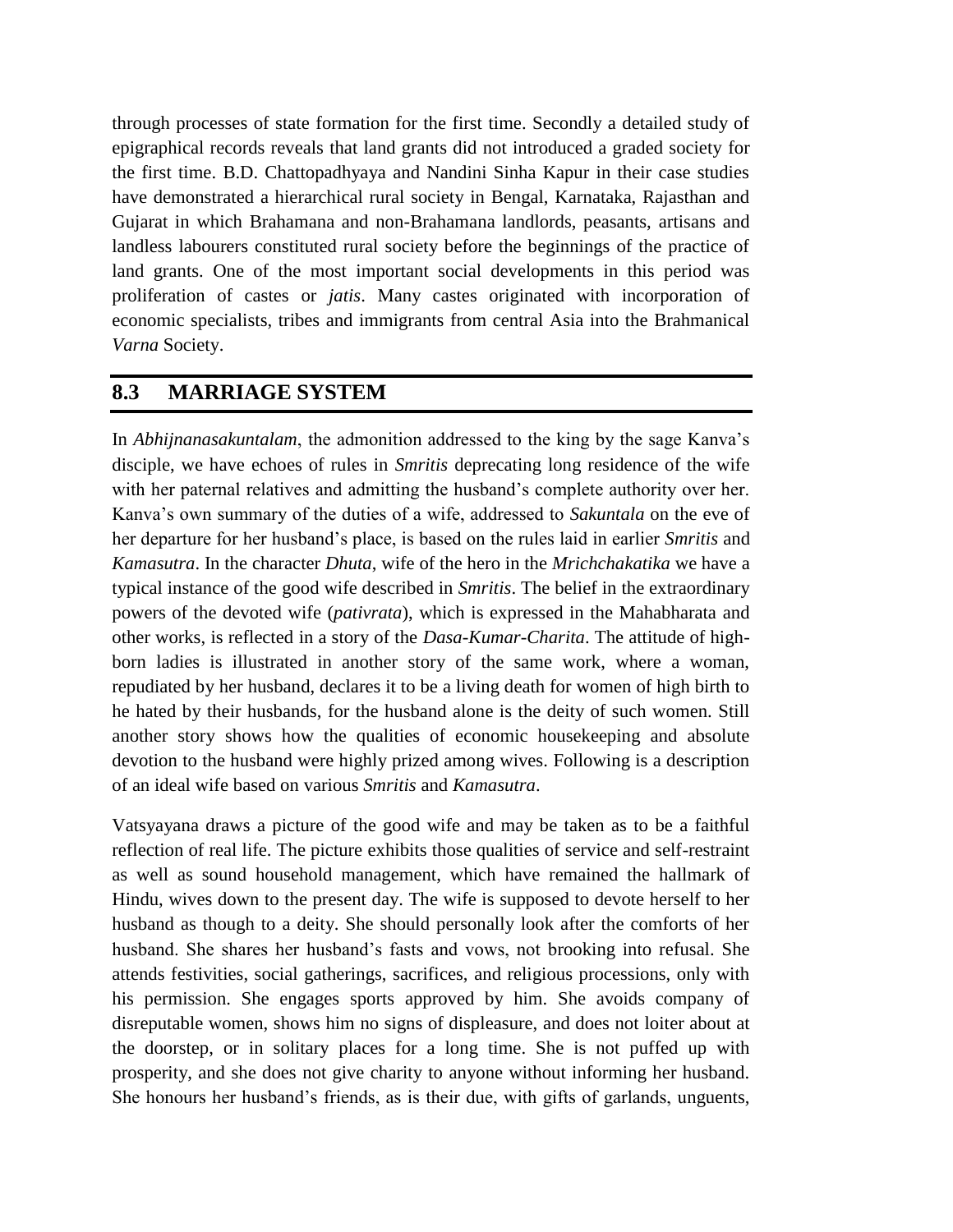## **UNIT 10 : POST-GUPTA POLITIES - PALLAVAS, CHALUKYAS, AND VARDHANAS**

#### **Structure**

| 10.0 | Objectives                                                                  |
|------|-----------------------------------------------------------------------------|
| 10.1 | Introduction                                                                |
| 10.2 | Pallavas                                                                    |
| 10.3 | Chalukyas                                                                   |
| 10.4 | 10.3.1 Chalukyas Badami<br>10.3.2 Chalukyas Vengi<br>Vardhanas/Pushyabhutis |
|      | 10.4.1 Harshavardhana                                                       |
| 10.5 | Let Us Sum Up                                                               |
| 10.6 | Key Words                                                                   |

10.7 Answers to Check Progress Exercises

### **10.0 OBJECTIVES**

After reading this unit you will be able to:

- learn about the political changes that took place after the disintegration of the Gupta empire,
- know about the emergence of various political powers which were gradually gaining importance,
- discuss the origin and growth of the power of the Pallavas, Chalukyas and Vardhanas.

### **10.1 INTRODUCTION**

After the downfall of the Gupta Empire, the provinces and feudatory states declared their independence and number of new political powers emerged both in northern and southern India. In certain regions new kingdoms emerged and in other areas the dynasties which had earlier accepted Gupta suzerainty now declared their independence. In this unit we will discuss about the rise of the major political powers *i.e.* Pallavas, Chalukyas and Vardhanas/Pushyabhutisin the post Gupta era.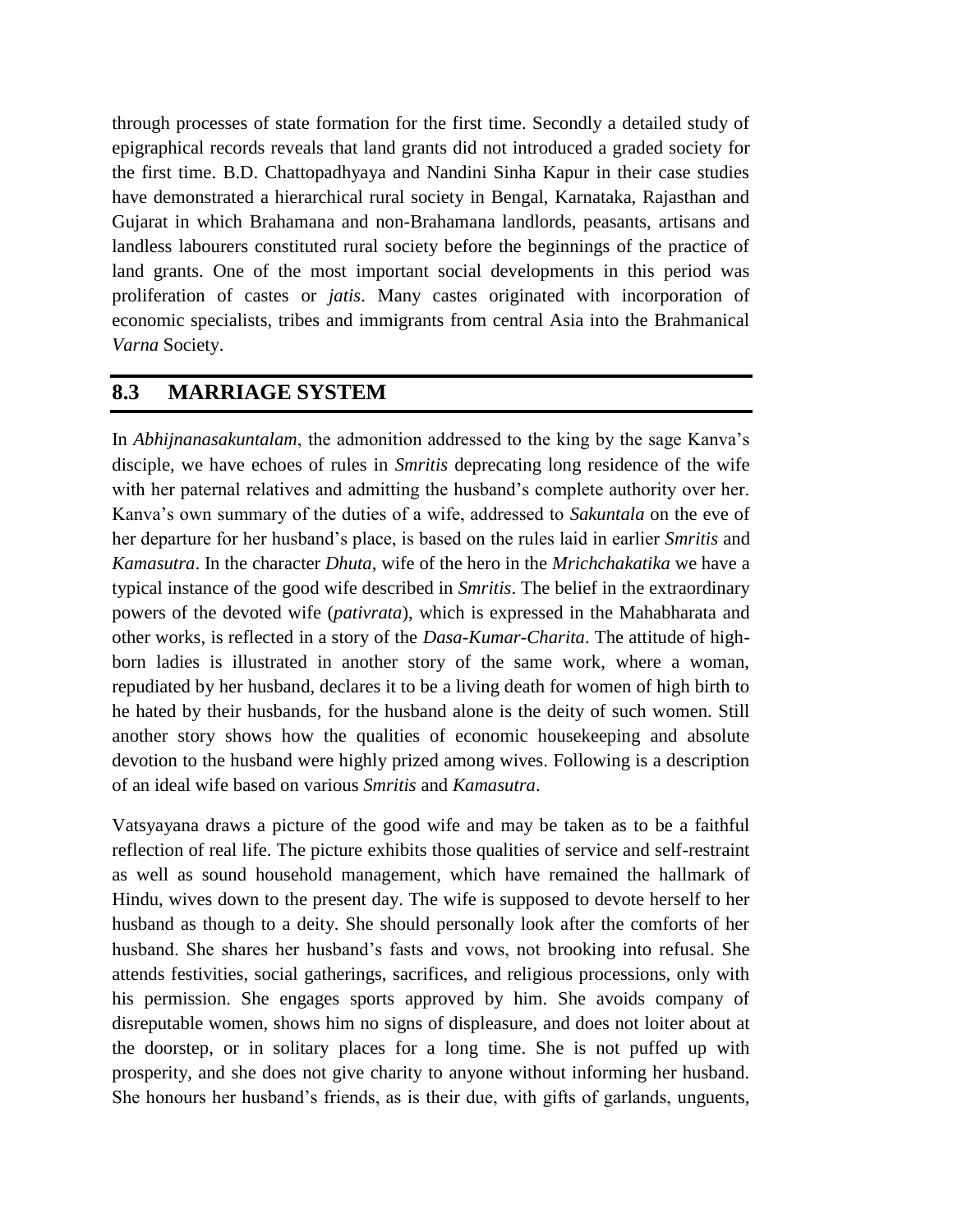### **10.2 PALLAVAS**

The Pallavas were one of the most important powers of South India. They replaced the Ikshvakus from the Krishna-Guntur region. After the fall of the Satavahanas, the Pallavas made themselves the masters of the entire region from Krishna to the Palar River with Kanchi as their capital. A variety of opinions exist regarding the genealogy and chronology of the Pallavas. The term Pallava means 'creeper', and is a Sanskrit version of the Tamil word '*tondai'*, which also carries the same meaning. Probably the Pallavas were a local tribe who established their authority in the Tondainadu or the land of creepers. The earliest records of the Pallavas are inscriptions in Prakrit, Sanskrit and Tamil languages.

Simha Vishnu (575-600 CE) was one of the most powerful rulers of the Pallava kingdom. He waged war against the Cholas, the Pandyas and their allies. During the last quarter of the 6<sup>th</sup> century CE he extended his power up to the Kaveri River. He was succeeded by his son Mahendravarman-I (600-630 CE). He was a dramatist, musician and a poet. He was the author of a play, '*Mattaritasa-Prahasana*'. He suffered several defeats at the hands of Chalukya king Pulakesin-II. Pulakesin-II even occupied Vengi and appointed his brother Vishnuvardhana as the viceroy of that area. Later on Vishnuvardhana started the line of the Eastern Chalukyas with Vengi as the capital.

Narasimhavarman-I (630-660 CE) was the son and successor of Mahendravarman-I. His surname was Mahamalla. He not only resisted the second invasion of Pulakesin-II, but also killed him and thereafter captured the Chalukyan capital Vatapi or Badami. After this success he won the title of 'Vatapikonda'. During his reign the famous Chinese pilgrim Hiuen-tsang visited Kanchi in 642 CE. He was a great lover of art.

The Chalukya king Vikramaditya-I defeated and killed the Pallava ruler Mahendravarman-II (668-670 CE). The next Pallava ruler Parameshwaravarman-I (670-680 CE) lost his capital Kanchi to Chalukya king Vikramaditya-I, soon recovered it. Parameshwaravarman-I was succeeded by his son and successor Narasimhavarman-II (680-720 CE).He is also known as Rajasimha. His period is marked by peace and prosperity. The famous Kailasanatha temple of Kanchi and the Shore temple at Mahamallapura were constructed by him. He is said to have sent embassies to China. Maritime trade flourished during his reign.

The next Pallava ruler Parameshwaravarman-II (728-731 CE) faced the combined attack of Chalukyas and the Gangas and he was killedin that attack. During the reign of Pallava king Nandivarman II (731-795CE), the Chalukya king Vikramaditya II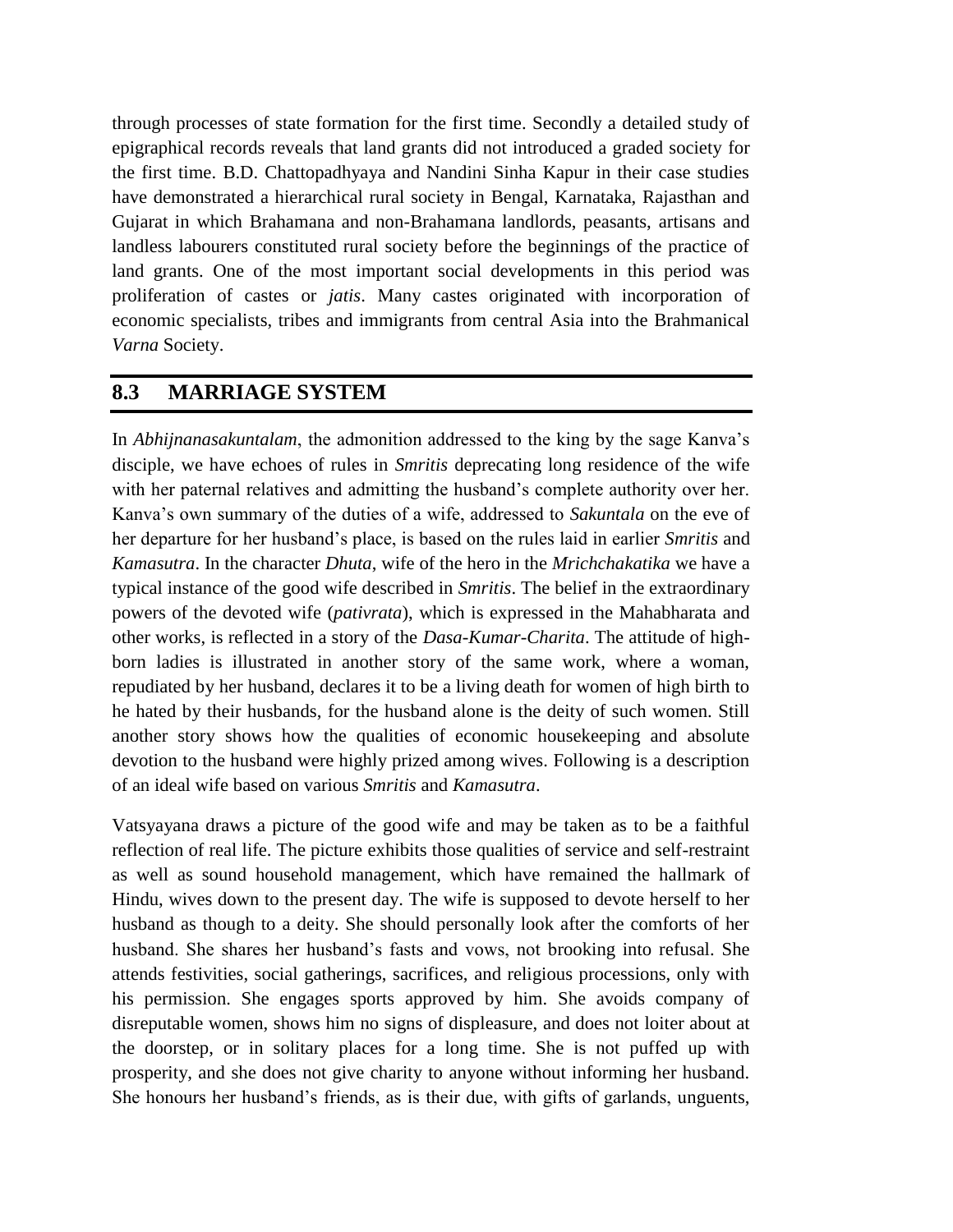invaded and captured the Pallava capital, but withdrew from Kanchi without destroying it. Nandivarman-II constructed the Vaikuntaperumal temple at Kanchi.

Aparajita was the last ruler of the Pallavas. He was defeated by Aditya Chola-I in the early  $10<sup>th</sup>$  century CE. Thus the Imperial Cholas overthrew the Pallavas and this marked an end to the Pallava rule.

The Pallava rulers greatly contributed in the field of art, architecture and literature. A large number of temples were constructed by the Pallava rulers which are known for their architectural beauty. Amongst such temples mention may be made of the rockout temples at Bhairavakonda, the Anantesvara temple at Undavalli, the Rathas of Mahabalipuram, the Shore temple of Jalashayanaswami, the Kailashanatha temple at Kanchipuram, the Vaikuntaperumal temple at Kanchi, the Muktesvara temple, and the Matangesvara temple at Kanchi etc. The best example of Pallava sculpture is the 'Descent of the Ganga' or Arjuna's Penance at Mahabalipuram.

The Pallava capital Kanchi was a great center of Sanskrit learning and Sanskrit was the official language of the Pallavas. Both Bharavi, the author of Kiratarjuniyam and Dandin, the author of Dasakumarcharitam, lived in the Pallava court.

### **10.3 CHALUKYAS**

The Chalukyas were one of the most important regional powers amongst others that emerged in southern India in the post Gupta era. From the mid-sixth century CE the Chalukyas had replaced the Vakatakas as the major power in the Deccan. The Chalukyas claimed descent from the lunar race but opinion differs regarding their origin. The Chalukyas ruled over four different regions of India at different periods of time. They were assuch known as the Chalukyas of Badami, the Chalukyas of Vengi, the Chalukyas of Kalyani and the Chalukyas of Anhilwada. However, we will confined our discussion to Chalukyas of Badami and Vengi, as Chalukyas of Kalyani and Anhilwada came to power after 750 CE.

#### **10.3.1 ChalukyasBadami**

The Chalukyas began their base at northern Mysore at Vatapi or Badami and the adjacent Aihole. From here they moved northwards and then they annexed the former kingdom of theVakatakas, which was centered round Nasik and the upper Godavari. The Chalukya power at Badami had a humble beginning under Jayasimha and his son Ranaraga. It is said that after defeating the Rashtrakuta king Indra, Jayasimha established his authority at Badami and marked the beginning of the political history of the Chalukyas. Pulakesin-I (550-566 CE) was the third ruler of the Chalukyas of Badami and he was the real founder of the Chalukya dynasty of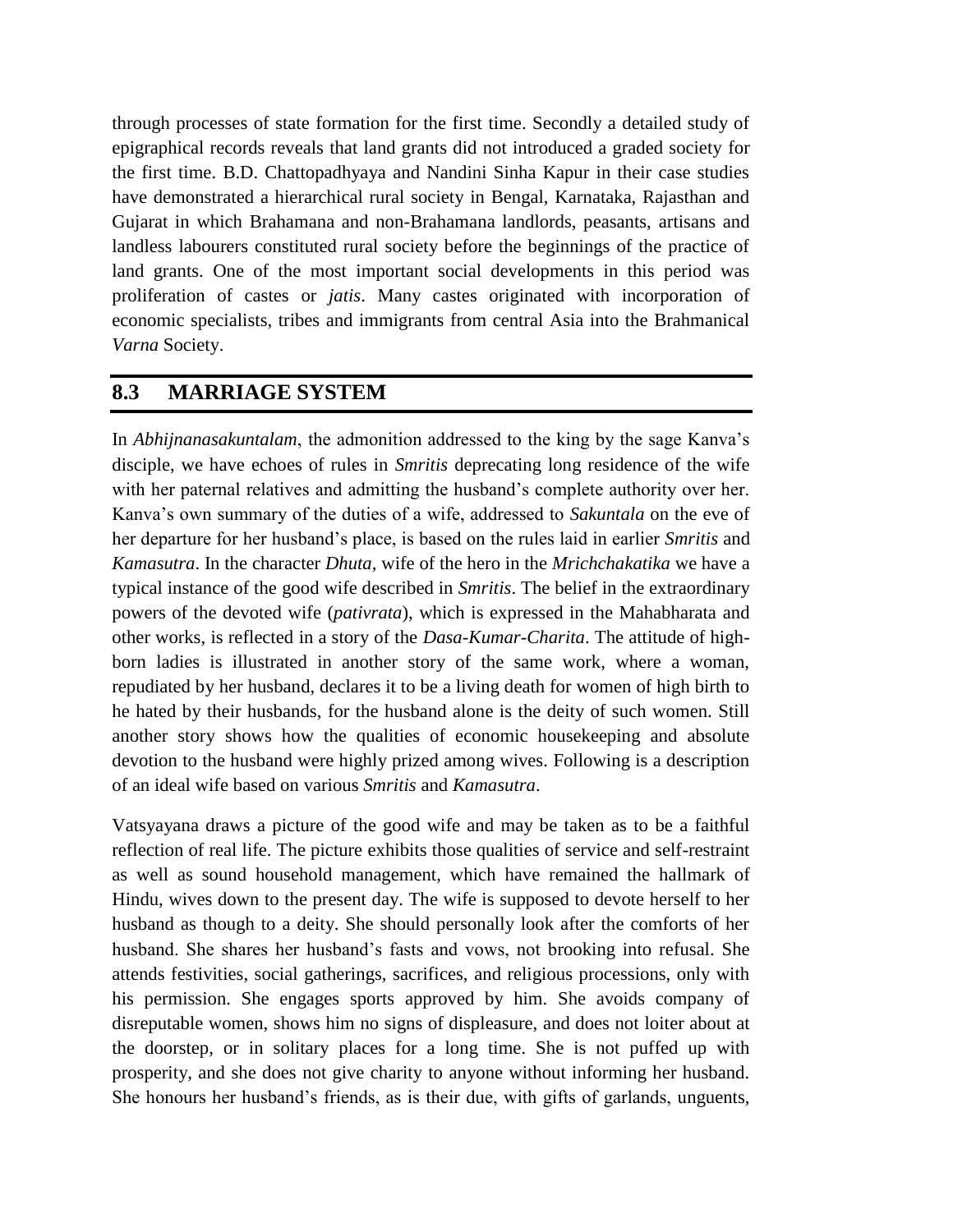Badami. Hemade Vatapi or Badami as his capital. He adopted the title of "Vallabhashvara" and also performed the 'Ashvamedha' sacrifice. He was succeeded by Kirtivarman-I. By defeating the Mauryas of North-Konkana and the Nalas of Nanavadi, Kirtivarman-I extended his kingdom. He invaded the territories of Bihar and Bengal in the north and the Chola-Pandya region in the south. He was succeeded by his brother Mangalesa. Mangalesa began to rule as a regent because Pulakesin-II (the son of Kirtivarman-I) was a minor. Mangalesa defeated the Kalachuris of Chedi and established the authority of the Chalukyas over the entire areas between the western and eastern seas. Soon a civil war started between Mangalesa and Pulakesin-II when the former refused to hand over the power to the later. In this fight Mangalesa met his death.

Pulakesin II after defeating his uncle Mangalesa, ascended to the throne in 609 CE. He raised the power and prestige of the Chalukyas of Badami. He adopted the title of Satyashraya. The western Gangas and the Alupas in the south and the Latas, Malavas and Gurjaras in the north accepted the suzerainty of Pulakesin-II. He even defeated Harshavardhana. His first expedition against the Pallava ruler Mahendravarman-I was a great success and he annexed Vengi. Pulakesin-II appointed his brother Vishnuvardhanaas Yuvaraja to govern that area. This marked the beginning of the Eastern Chalukyas or the Chalukyas of Vengi. Unfortunately Pulakesin's second invasion against the Pallavas ended in failure. In about 642 CE the Pallava king Narasimhavarman-I occupied the Chalukya capital at Badami. Probably in this fight Pulakesi- II was killed. Pulakesin-II sent an ambassador to Iran in 625 CE and in return the Iranian king Khusrau-II also sent an ambassador to the Chalukya capital Badami. In about 641 CE the famous Chinese pilgrim Hiuen-tsang visited the kingdom of Pulakesin-II. Pulakesin-II also encouraged art and architecture and also promoted religion and learning. His court poet Ravi Kirti wrote his eulogy in the Aihole inscription.

Pulakesin-II was succeeded by his son Vikramaditya-I. Here stored the power of the Chalukyas by regaining the territories which were earlier lost to the Pallavas. He even plundered the Pallava capital Kanchi. He was succeeded by his son Vinayaditya, whose region was generally peaceful and prosperous. The next ruler of the dynasty was Vijayaditya. His region was the longest, the most prosperous and peaceful one. Vikramaditya-II succeeded him. It is said that Vikramaditya-II had overrun Kanchi three times. In around740 CE he completely routed the Pallavas which marked the end of the Pallava supremacy in southern India. He also resisted the Arab invasion of south Gujarat. The last ruler of the Chalukyas of Badami was Kirtivarman-II. He was defeated by one of his feudatories, Dantidurga. Thereafter Dantidurga founded the Rashtrakuta dynasty which finally put an end to the Chalukya dynasty of Badami.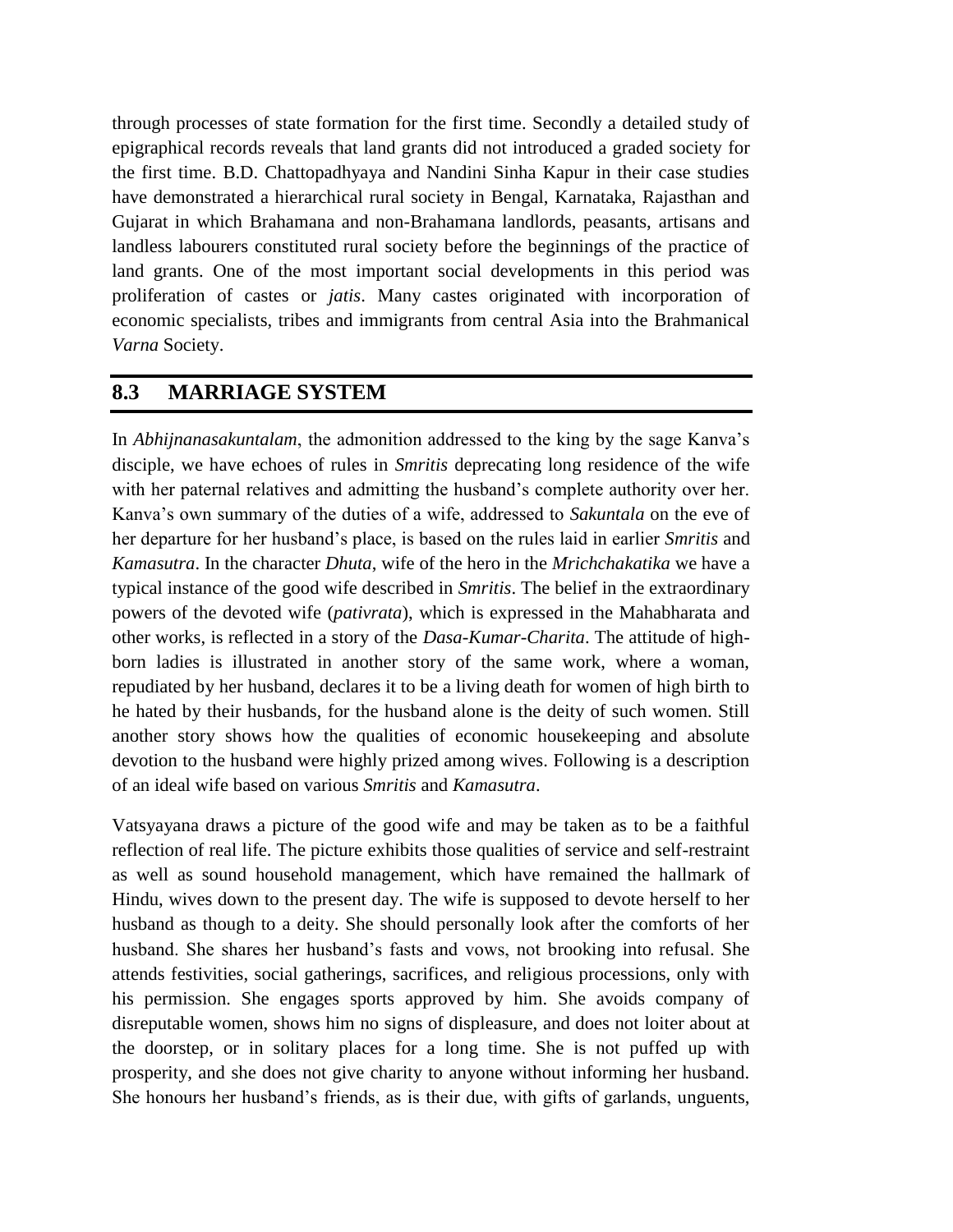The Chalukya rulers of Badami had immense contribution in the field of art, architecture and temple-building. They had developed the Deccan or Vesara style in the building of structural temples. They also had perfected the art of stone building without mortar. Under their patronage, the Buddhists, Jainas and Brahmanas competed with each other in building cave temples. Large numbers of temples were constructed under the patronage of the Chalukya rulers of Badami. These temples represented various architectural styles. Some of the temples constructed during that period were the temples at Aihole and Badami, the Ladhkan temple, the Durga temple, the Hucimaligudi temple, the Jain temple at Meguti, the Melagitti Sivalaya, the Papanath temple and the Virupaksha temple etc.

#### **10.3.2 Chalukyas Vengi**

Pulakeshin-II conquered the eastern Deccan, corresponding to the coastal districts of modern [Andhra Pradesh](https://en.wikipedia.org/wiki/Andhra_Pradesh) in 616, defeating the remnants of the [Vishnukundina](https://en.wikipedia.org/wiki/Vishnukundina) kingdom. He appointed his brother [Kubja Vishnuvardhana](https://en.wikipedia.org/wiki/Kubja_Vishnuvardhana) as Viceroy in 621 CE. Thus the Eastern Chalukyas were originally of Kannada stock. After the death of Pulakeshin-II, the Vengi Viceroyalty developed into an independent kingdom and included the region between [Nellore](https://en.wikipedia.org/wiki/Nellore) and [Visakhapatnam.](https://en.wikipedia.org/wiki/Visakhapatnam) After the decline of the Badami Chalukya empire in the mid-8th century, territorial disputes flared up between the Rashtrakutas, the new rulers of the western deccan, and the Eastern Chalukyas. For much of the next two centuries, the Eastern Chalukyas had to accept subordination towards the Rashtrakutas. Apart from a rare military success, such as the one by Vijayaditya-II (c.808–847 CE), it was only during the rule of Bhima-I (c.892–921 CE) that these Chalukyas were able to celebrate a measure of independence. After the death of Bhima-I, the Andhra region once again saw succession disputes and interference in Vengi affairs by the Rashtrakutas.

The fortunes of the Eastern Chalukyas took a turn around 1000 CE. Danarnava, their king, was killed in battle in 973 CE by the Telugu Choda King Bhima who then imposed his rule over the region for twenty-seven years. During this time, Danarnava's two sons took refuge in the [Chola](https://en.wikipedia.org/wiki/Chola) kingdom. Choda Bhima's invasion of Tondaimandalam, a Chola territory, and his subsequent death on the battlefield opened up a new era in Chola–Chalukya relations. Saktivarman-I, the elder son of Danarnava was crowned as the ruler of Vengi in 1000 CE, though under the control of king [Rajaraja Chola-I.](https://en.wikipedia.org/wiki/Rajaraja_Chola_I) This new relationship between the Cholas and the coastal Andhra kingdom was unacceptable to the Western Chalukyas, who had by then replaced the Rashtrakutas as the main power in the western Deccan. The Western Chalukyas sought to brook the growing Chola influence in the Vengi region but were unsuccessful.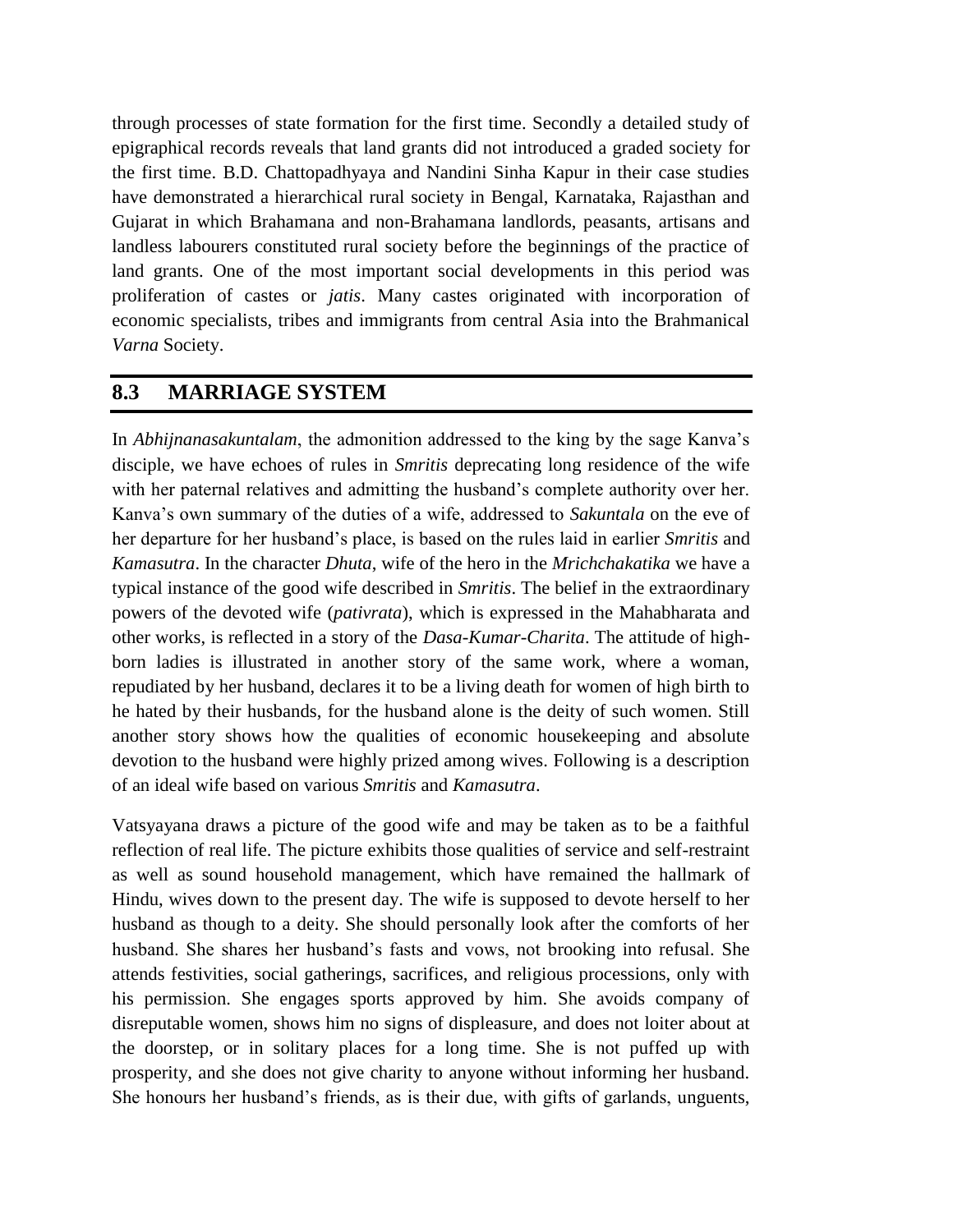Initially, the Eastern Chalukyas had encouraged Kannada language and literature, though, after a period of time, local factors took over and they gave importance to [Telugu language.](https://en.wikipedia.org/wiki/Telugu_language) Telugu literature owes its growth to the Eastern Chalukyas.

### **10.4 VARDHANAS/PUSHYABHUTIS**

A variety of sources inform us about the rise of the family of Pushyabhutis which first ruled from Thaneshwar in Haryana and later from Kanauj in Uttar Pradesh. These sources include the text *Harshacharita* of Banabhatta, accounts of Hiuen-tsang and some inscriptions and coins etc. Banabhatta informs us that the founder king of this dynasty at Thaneshwar was Pushyabhuti and that the family was known as Pushyabhutivamsa. However, the inscriptions of Harsha make no reference to him. The Banskhera and Madhuvan plates and royal seals mention five earlier rulers among whom the first three are given the title of Maharaja. This may indicate that they were not sovereign monarchs. The fourth king Prabhakarvardhana has been described as a Maharajadhiraja which makes us infer that he was an independent monarch and had established matrimonial relations with the Maukharis by marrying his daughter Rajyasri with Grahavarman.

Thaneshwar, during this time (about 604 CE) was threatened by the Hunas from the western side. Banabhatta has described Prabhakarvardhana as "a lion to the Huna deer". According to him an army under Rajyavardhana was sent to defeat the Hunas but due to the sudden illness of his father he had to come back. With Prabhakarvardhana's death the family had to face troubled times for a while. The Malava king killed Grahavarman and took, Rajyasri prisoner. It appears that the Malava and the Gauda kings entered into alliance and even Thaneshwar was threatened. Rajyavardhana defeated the Malavas but was killed through treachery by Sasanka, the Gauda king. Now it was Harsha's responsibility to seek revenge and in due course he was able to establish a strong empire.

#### **10.4.1 Harshavardhana**

Harsha ascended the throne of Thaneshwar around 606 CE and immediately marched against the Gaudas. He also entered into an alliance with Bhaskarvarmanthe king of Pragjyaotisha (Assam) as both had a common enemy in Sasanka, the king of Gauda (Bengal). We have no information whether Harsha entered into battle with Sasanka but he was able to save his sister Rajyasri and the kingdoms of Thaneshwar and Kanauj were combined with Harsha now ruling from Kanauj. In fact Hiuentsang's account mentions him and his predecessors as rulers of Kanauj. Both Bana and Hiuen-tsang refer to Harsha's vow of defeating other kings. Subsequently, he fought the rulers of Valabhi and Gurjaras in the west; Chalukyas in the Deccan; and Magadha and Gauda in the east: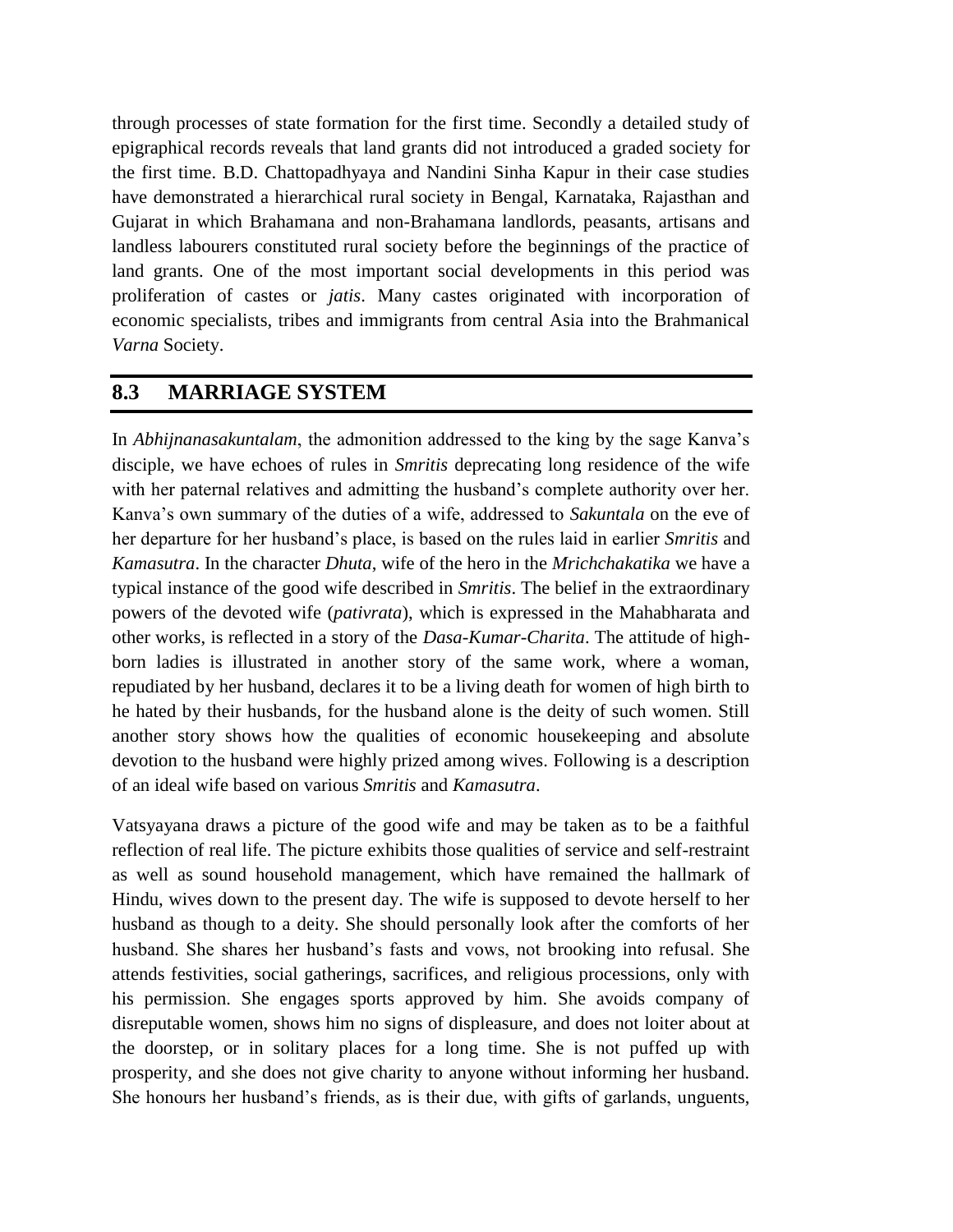- The Maitrakas of Valabhi had emerged as a strong power in the Saurashm region of Gujarat. Valabhi is generally identified with Wala, 18 miles from Bhavnagar in Kathiawar. We find the names of five Valabhi kings who were contemporaries of Harsha. Hiuen-tsang has mentioned the Valabhi king Dhruvasena-II Baladitya as Harsha's son-in-law who also attended the religious assembly called by Harsha at Prayaga. This indicates that Harsha's hostilities with Valabhis ended through a matrimonial alliance. However, through the inscriptions of Gurjara kings we know that their king Dadda-II, had supported the Valabhis. The Valabhis remained a strong power during the reign of Harsha.
- From Bana's account we know that the Gurjaras were hostile to the Vardhanas. A family of Gurjara rulers was ruling at Nandipuri in the Broach region of Gujarat in this period. This might have continued during the period of Harsha. It appears that the Gurjaras accepted the suzerainty of Chalukyas of Badami in Karnataka as a safeguard against Harsha, for the Aihole inscription mentions Lata, Malava and Gurjara as feudatories of Pulakasin-II, the Chalukya ruler.
- An eulogy or prasasti of Pulakasin-II, placed on a temple wall at Aihole, also mentions Pulakesin's military success against Harshavardhana.
- Hiuen-tsang's account mentions that instead of his victories over many kingdoms he was not able to defeat Pulakasin-II, the Chalukya ruler of Badami in Karnataka. We have no details of the battle and where it was fought but this is clear that Harsha could not achieve success against Pulakesin-II.
- Harsha was successful in his eastern campaigns. A Chinese account mentions him as the king of Magadha in 641 CE, we have already mentioned his alliance with Bhaskaravarman the king of Assam and it is possible that they jointly conducted campaigns in Bengal and other parts of eastern India.
- Harsha had diplomatic relations with the Chinese for his contemporary Tang emperor sent three embassies to his court. The last of these, under Wang-hiuentse, arrived in India in 647 CE when Harsha was no longer alive. Harsha himself had sent a Brahmana envoy to China in 641 CE. Harsha ruled for a period of 41 years and is said to have died about 647 CE. The administrative set-up under Harsha was in some ways a continuation of the system prevalent under the Guptas. Hiuen-tsang mentions that Harsha used to take up tours throughout his kingdom. The king remained the supreme authority, assisted by his ministers and other officials of different categories.

For example, the Madhuban copper plate mentions the names of various officials like *uparika* (provincial governor), *Senapati* (Army chief), *Dutaka* (informer), etc. However, his inscriptions, Bana's *Harshacharita* and Hiuen-tsang's account leave no doubt that the stability of the administration and of the empire had come to depend much on the support of allies and feudatories (*Samantas* and *Mahasamantas*). The officials, it appears, were not paid salaries in cash. Instead, they were given land as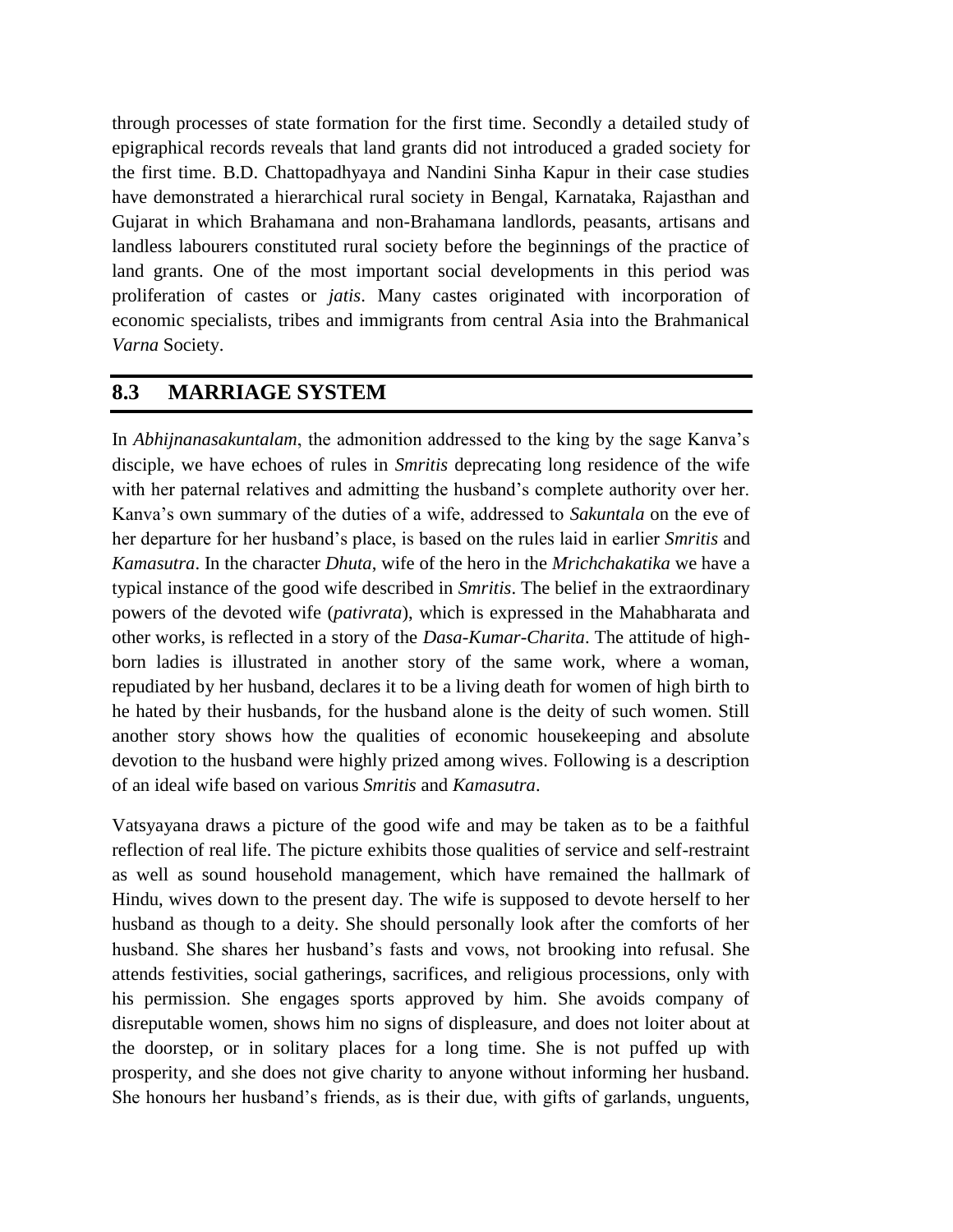payment for their services. The law and order situation seems to have slackened during this period as Hiuen-tsang himself had to face plunder by dacoits.

The Banskhera, Nalanda and Sonepat Inscriptions of Harsha describe him as a worshipper of Siva. However, later on he became a Buddhist and convened a conference at Kanauj. Here the doctrines of Mahayana were propagated with utmost precision. This assembly, according to Hiuen-tsang, was attended by eighteen kings and three thousand monks and continued for eighteen days. Another such event during Harsha's reign was the Quinquennial distribution ceremony at Prayaga. Harsha performed five such ceremonies in his last thirty years. He used to distribute all the treasures accumulated during the last five years in these ceremonies.

Learning and education got royal patronage during this period. Nalanda University had more than ten thousand students. Harsha had given hundred villages in donation to this University.

#### **Check Your Progress**

- 1) Which of the following statements are right  $(\sqrt{})$  or wrong  $(x)$ ?
	- i. Narasimhavarman-I was the son of Mahendravarman I. ( )
	- ii. Aparajita was the first ruler of the Pallavas. ( )
	- iii. Jayasimha defeated the Rashtrakuta king Indra. ( )
	- iv. Hiuen-t-sang was an Arab traveller. ( )
	- v. Harsha defeated Pulakesin-II. ( )
	- vi. Harsha did not convene a Buddhist conference. ( )
- 2) Explain in ten lines about conflict between Pallava-Chalukya.

………………………………………………………………………………………… ………………………………………………………………………………………… ………………………………………………………………………………………… ………………………………………………………………………………………… ………………………………………………………………………………………… ………………………………………………………………………………………… ………………………………………………………………………………………… ………………………………………………………………………………………… ………………………………………………………………………………………… …………………………………………………………………………………………

3) Discuss the conquest of Pulakesin-II. Answer in ten lines.

………………………………………………………………………………………… …………………………………………………………………………………………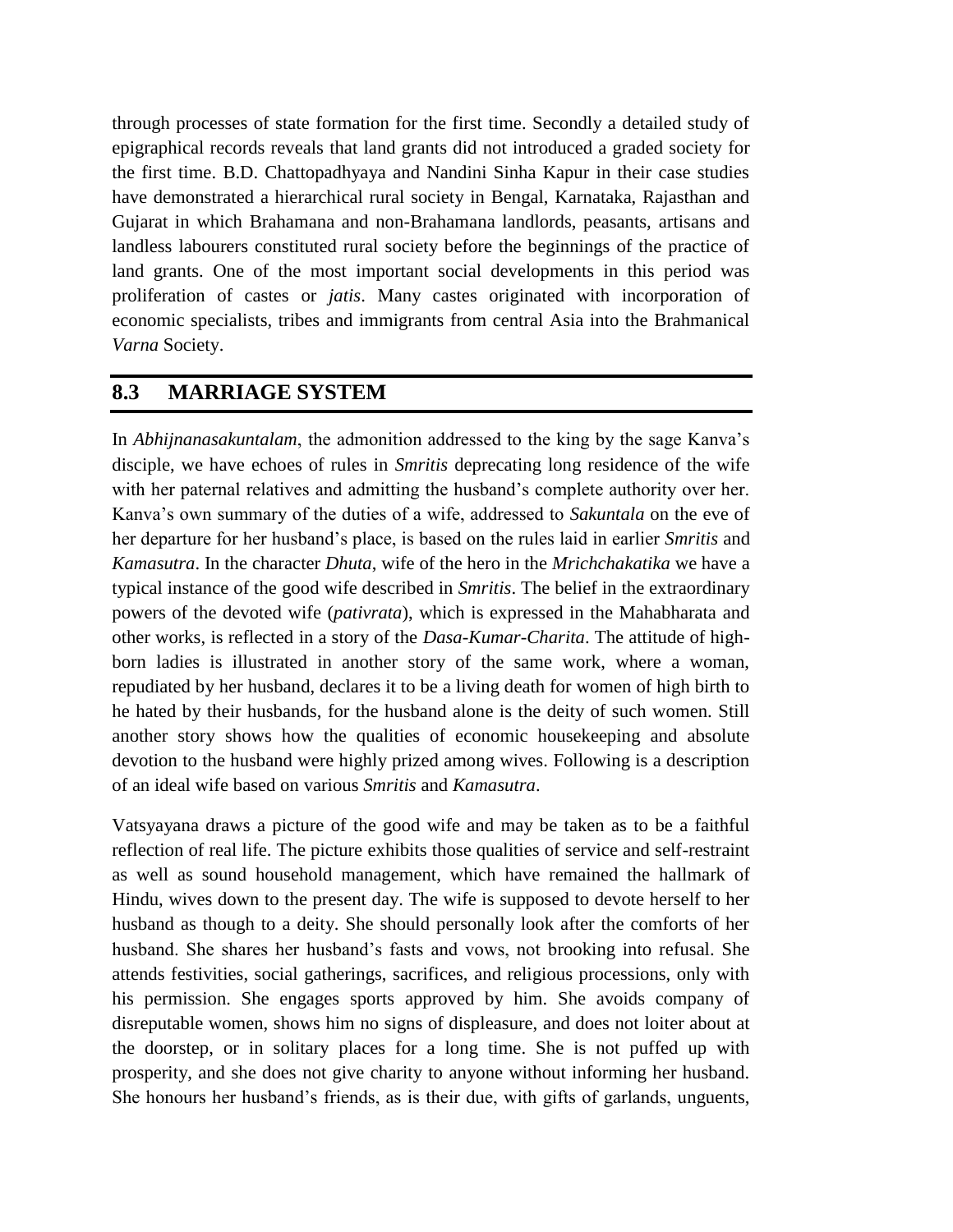………………………………………………………………………………………… ………………………………………………………………………………………… ………………………………………………………………………………………… ………………………………………………………………………………………… ………………………………………………………………………………………… ………………………………………………………………………………………… …………………………………………………………………………………………

4) Write in about ten lines the relation of Harsha with other powers.

………………………………………………………………………………………… ………………………………………………………………………………………… ………………………………………………………………………………………… ………………………………………………………………………………………… ………………………………………………………………………………………… ………………………………………………………………………………………… ………………………………………………………………………………………… ………………………………………………………………………………………… …………………………………………………………………………………………

### **10.5 LET US SUM UP**

In the post-Gupta period many kingdoms came into existence. These kingdoms were not as large as the Gupta kingdom. The political fortunes of the dynasties which ruled these kingdoms fluctuated with time. Some of the powerful kings like Harsha managed to bring almost the whole of northern India under their control, but their kingdoms were short-lived. However, simultaneously we find that in many regions new political powers emerged which lasted for many centuries *i.e.* Pallavas and Chalukyas. These regional powers consolidated themselves and played important roles in the history of subsequent periods.

#### **10.6 KEY WORDS**

**Feudatory**: a person who holds land under the conditions of the feudal system.

**Quinquennial**: lasting for or relating to a period of five years.

**Rock-cut**: the creation of structures, buildings, and sculptures by excavating solid **rock** where it naturally occurs.